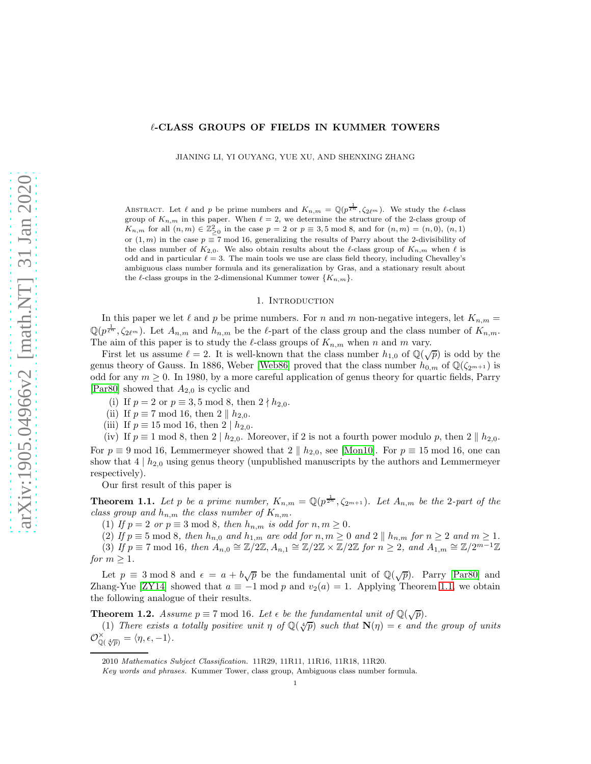# ℓ-CLASS GROUPS OF FIELDS IN KUMMER TOWERS

JIANING LI, YI OUYANG, YUE XU, AND SHENXING ZHANG

ABSTRACT. Let  $\ell$  and  $p$  be prime numbers and  $K_{n,m} = \mathbb{Q}(p^{\frac{1}{\ell^{n}}}, \zeta_{2\ell^{m}})$ . We study the  $\ell$ -class group of  $K_{n,m}$  in this paper. When  $\ell = 2$ , we determine the structure of the 2-class group of  $K_{n,m}$  for all  $(n,m) \in \mathbb{Z}_{\geq 0}^2$  in the case  $p = 2$  or  $p \equiv 3, 5 \mod 8$ , and for  $(n,m) = (n,0), (n,1)$ or  $(1, m)$  in the case  $p \equiv 7 \mod 16$ , generalizing the results of Parry about the 2-divisibility of the class number of  $K_{2,0}$ . We also obtain results about the  $\ell$ -class group of  $K_{n,m}$  when  $\ell$  is odd and in particular  $\ell = 3$ . The main tools we use are class field theory, including Chevalley's ambiguous class number formula and its generalization by Gras, and a stationary result about the  $\ell$ -class groups in the 2-dimensional Kummer tower  $\{K_{n,m}\}.$ 

## 1. INTRODUCTION

In this paper we let  $\ell$  and  $p$  be prime numbers. For  $n$  and  $m$  non-negative integers, let  $K_{n,m} =$  $\mathbb{Q}(p^{\frac{1}{\ell^n}}, \zeta_{2\ell^m})$ . Let  $A_{n,m}$  and  $h_{n,m}$  be the  $\ell$ -part of the class group and the class number of  $K_{n,m}$ . The aim of this paper is to study the  $\ell$ -class groups of  $K_{n,m}$  when n and m vary.

First let us assume  $\ell = 2$ . It is well-known that the class number  $h_{1,0}$  of  $\mathbb{Q}(\sqrt{p})$  is odd by the genus theory of Gauss. In 1886, Weber [\[Web86\]](#page-21-0) proved that the class number  $h_{0,m}$  of  $\mathbb{Q}(\zeta_{2^{m+1}})$  is odd for any  $m \geq 0$ . In 1980, by a more careful application of genus theory for quartic fields, Parry [\[Par80\]](#page-21-1) showed that  $A_{2,0}$  is cyclic and

- (i) If  $p = 2$  or  $p \equiv 3, 5 \mod 8$ , then  $2 \nmid h_{2,0}$ .
- (ii) If  $p \equiv 7 \mod 16$ , then  $2 \parallel h_{2,0}$ .
- (iii) If  $p \equiv 15 \mod 16$ , then  $2 | h_{2,0}$ .

(iv) If  $p \equiv 1 \mod 8$ , then  $2 \mid h_{2,0}$ . Moreover, if 2 is not a fourth power modulo p, then  $2 \parallel h_{2,0}$ . For  $p \equiv 9 \mod 16$ , Lemmermeyer showed that  $2 \parallel h_{2,0}$ , see [\[Mon10\]](#page-20-0). For  $p \equiv 15 \mod 16$ , one can show that  $4 \mid h_{2,0}$  using genus theory (unpublished manuscripts by the authors and Lemmermeyer respectively).

Our first result of this paper is

<span id="page-0-0"></span>**Theorem 1.1.** Let p be a prime number,  $K_{n,m} = \mathbb{Q}(p^{\frac{1}{2^n}}, \zeta_{2^{m+1}})$ . Let  $A_{n,m}$  be the 2-part of the *class group and*  $h_{n,m}$  *the class number of*  $K_{n,m}$ *.* 

(1) If  $p = 2$  or  $p \equiv 3 \mod 8$ , then  $h_{n,m}$  is odd for  $n, m \ge 0$ .

(2) If  $p \equiv 5 \mod 8$ , then  $h_{n,0}$  and  $h_{1,m}$  are odd for  $n, m \ge 0$  and  $2 \parallel h_{n,m}$  for  $n \ge 2$  and  $m \ge 1$ . (3) If  $p \equiv 7 \mod 16$ , then  $A_{n,0} \cong \mathbb{Z}/2\mathbb{Z}, A_{n,1} \cong \mathbb{Z}/2\mathbb{Z} \times \mathbb{Z}/2\mathbb{Z}$  for  $n \geq 2$ , and  $A_{1,m} \cong \mathbb{Z}/2^{m-1}\mathbb{Z}$ *for*  $m > 1$ *.* 

Let  $p \equiv 3 \mod 8$  and  $\epsilon = a + b\sqrt{p}$  be the fundamental unit of  $\mathbb{Q}(\sqrt{p})$ . Parry [\[Par80\]](#page-21-1) and Zhang-Yue [\[ZY14\]](#page-21-2) showed that  $a \equiv -1 \mod p$  and  $v_2(a) = 1$ . Applying Theorem [1.1,](#page-0-0) we obtain the following analogue of their results.

<span id="page-0-1"></span>**Theorem 1.2.** *Assume*  $p \equiv 7 \mod 16$ *. Let*  $\epsilon$  *be the fundamental unit of*  $\mathbb{Q}(\sqrt{p})$ *.* 

(1) There exists a totally positive unit  $\eta$  of  $\mathbb{Q}(\sqrt[4]{p})$  such that  $\mathbf{N}(\eta) = \epsilon$  and the group of units  $\mathcal{O}_{\mathbb{Q}(\sqrt[4]{p})}^{\times}=\langle\eta,\epsilon,-1\rangle.$ 

<sup>2010</sup> Mathematics Subject Classification. 11R29, 11R11, 11R16, 11R18, 11R20.

Key words and phrases. Kummer Tower, class group, Ambiguous class number formula.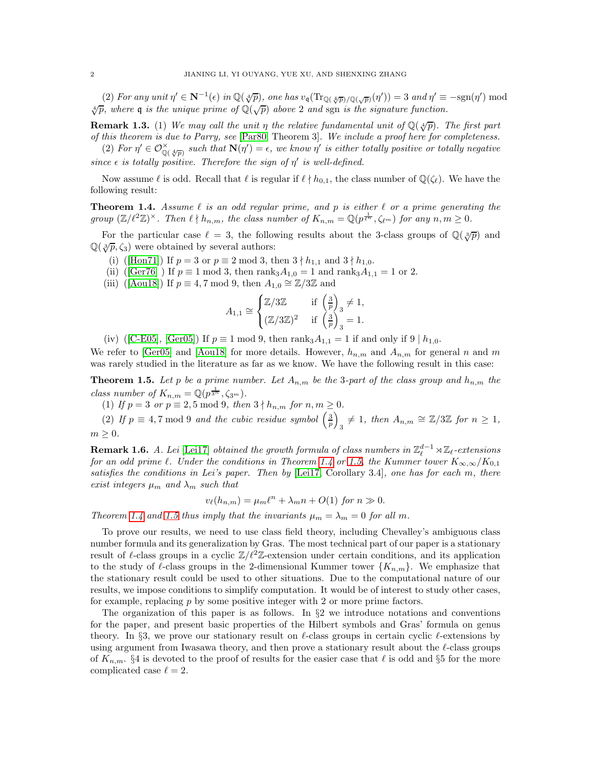(2) For any unit  $\eta' \in \mathbb{N}^{-1}(\epsilon)$  in  $\mathbb{Q}(\sqrt[4]{p})$ , one has  $v_{\mathfrak{q}}(\text{Tr}_{\mathbb{Q}(\sqrt[4]{p})/\mathbb{Q}(\sqrt{p})}(\eta')) = 3$  and  $\eta' \equiv -\text{sgn}(\eta') \mod 2$  $\sqrt[4]{p}$ , where **q** is the unique prime of  $\mathbb{Q}(\sqrt{p})$  above 2 and sgn is the signature function.

**Remark 1.3.** (1) We may call the unit  $\eta$  the relative fundamental unit of  $\mathbb{Q}(\sqrt[4]{p})$ . The first part *of this theorem is due to Parry, see* [\[Par80,](#page-21-1) Theorem 3]*. We include a proof here for completeness.*

(2) For  $\eta' \in \mathcal{O}_{\mathbb{Q}(\sqrt[4]{p})}^{\times}$  such that  $\mathbf{N}(\eta') = \epsilon$ , we know  $\eta'$  is either totally positive or totally negative  $since \epsilon$  *is totally positive. Therefore the sign of*  $\eta'$  *is well-defined.* 

Now assume  $\ell$  is odd. Recall that  $\ell$  is regular if  $\ell \nmid h_{0,1}$ , the class number of  $\mathbb{Q}(\zeta_{\ell})$ . We have the following result:

<span id="page-1-0"></span>Theorem 1.4. *Assume* ℓ *is an odd regular prime, and* p *is either* ℓ *or a prime generating the group*  $(\mathbb{Z}/\ell^2 \mathbb{Z})^{\times}$ *. Then*  $\ell \nmid h_{n,m}$ *, the class number of*  $K_{n,m} = \mathbb{Q}(p^{\frac{1}{\ell^m}}, \zeta_{\ell^m})$  *for any*  $n, m \geq 0$ *.* 

For the particular case  $\ell = 3$ , the following results about the 3-class groups of  $\mathbb{Q}(\sqrt[3]{p})$  and  $\mathbb{Q}(\sqrt[3]{p}, \zeta_3)$  were obtained by several authors:

(i) ([\[Hon71\]](#page-20-1)) If  $p = 3$  or  $p \equiv 2 \mod 3$ , then  $3 \nmid h_{1,1}$  and  $3 \nmid h_{1,0}$ .

- (ii) ([\[Ger76\]](#page-20-2)) If  $p \equiv 1 \mod 3$ , then rank<sub>3</sub> $A_{1,0} = 1$  and rank<sub>3</sub> $A_{1,1} = 1$  or 2.
- (iii) ([\[Aou18\]](#page-20-3)) If  $p \equiv 4, 7 \mod 9$ , then  $A_{1,0} \cong \mathbb{Z}/3\mathbb{Z}$  and

$$
A_{1,1} \cong \begin{cases} \mathbb{Z}/3\mathbb{Z} & \text{if } \left(\frac{3}{p}\right)_3 \neq 1, \\ (\mathbb{Z}/3\mathbb{Z})^2 & \text{if } \left(\frac{3}{p}\right)_3 = 1. \end{cases}
$$

(iv) ([\[C-E05\]](#page-20-4), [\[Ger05\]](#page-20-5)) If  $p \equiv 1 \mod 9$ , then rank<sub>3</sub> $A_{1,1} = 1$  if and only if  $9 \mid h_{1,0}$ .

We refer to [\[Ger05\]](#page-20-5) and [\[Aou18\]](#page-20-3) for more details. However,  $h_{n,m}$  and  $A_{n,m}$  for general n and m was rarely studied in the literature as far as we know. We have the following result in this case:

<span id="page-1-1"></span>**Theorem 1.5.** Let p be a prime number. Let  $A_{n,m}$  be the 3-part of the class group and  $h_{n,m}$  the *class number of*  $K_{n,m} = \mathbb{Q}(p^{\frac{1}{3^n}}, \zeta_{3^m}).$ 

(1) If  $p = 3$  or  $p \equiv 2, 5 \mod 9$ , then  $3 \nmid h_{n,m}$  for  $n, m \ge 0$ .

(2) If  $p \equiv 4, 7 \mod 9$  and the cubic residue symbol  $\left(\frac{3}{p}\right)$  $\overline{ }$  $A_3 \neq 1$ *, then*  $A_{n,m} \cong \mathbb{Z}/3\mathbb{Z}$  for  $n \geq 1$ *,*  $m \geq 0$ .

**Remark 1.6.** *A. Lei* [\[Lei17\]](#page-20-6) *obtained the growth formula of class numbers in*  $\mathbb{Z}_{\ell}^{d-1} \rtimes \mathbb{Z}_{\ell}$ -extensions *for an odd prime*  $\ell$ *. Under the conditions in Theorem* [1.4](#page-1-0) *or* [1.5,](#page-1-1) the Kummer tower  $K_{\infty,\infty}/K_{0,1}$ *satisfies the conditions in Lei's paper. Then by* [\[Lei17,](#page-20-6) Corollary 3.4]*, one has for each* m*, there exist integers*  $\mu_m$  *and*  $\lambda_m$  *such that* 

$$
v_{\ell}(h_{n,m}) = \mu_m \ell^n + \lambda_m n + O(1) \text{ for } n \gg 0.
$$

*Theorem* [1.4](#page-1-0) *and* [1.5](#page-1-1) *thus imply that the invariants*  $\mu_m = \lambda_m = 0$  *for all* m.

To prove our results, we need to use class field theory, including Chevalley's ambiguous class number formula and its generalization by Gras. The most technical part of our paper is a stationary result of  $\ell$ -class groups in a cyclic  $\mathbb{Z}/\ell^2\mathbb{Z}$ -extension under certain conditions, and its application to the study of  $\ell$ -class groups in the 2-dimensional Kummer tower  $\{K_{n,m}\}$ . We emphasize that the stationary result could be used to other situations. Due to the computational nature of our results, we impose conditions to simplify computation. It would be of interest to study other cases, for example, replacing  $p$  by some positive integer with 2 or more prime factors.

The organization of this paper is as follows. In  $\S2$  we introduce notations and conventions for the paper, and present basic properties of the Hilbert symbols and Gras' formula on genus theory. In §3, we prove our stationary result on  $\ell$ -class groups in certain cyclic  $\ell$ -extensions by using argument from Iwasawa theory, and then prove a stationary result about the  $\ell$ -class groups of  $K_{n,m}$ . §4 is devoted to the proof of results for the easier case that  $\ell$  is odd and §5 for the more complicated case  $\ell = 2$ .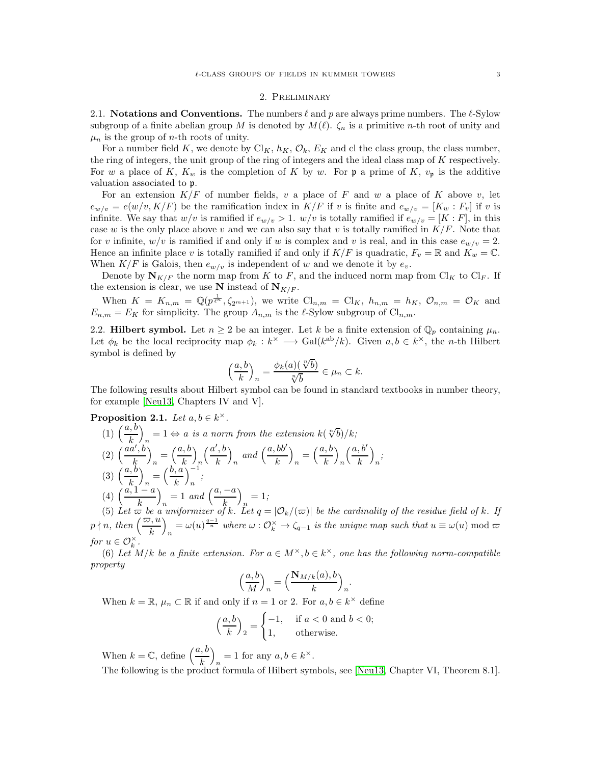### 2. Preliminary

2.1. Notations and Conventions. The numbers  $\ell$  and p are always prime numbers. The  $\ell$ -Sylow subgroup of a finite abelian group M is denoted by  $M(\ell)$ .  $\zeta_n$  is a primitive n-th root of unity and  $\mu_n$  is the group of *n*-th roots of unity.

For a number field K, we denote by  $\text{Cl}_K$ ,  $h_K$ ,  $\mathcal{O}_k$ ,  $E_K$  and cl the class group, the class number, the ring of integers, the unit group of the ring of integers and the ideal class map of K respectively. For w a place of K,  $K_w$  is the completion of K by w. For p a prime of K,  $v_p$  is the additive valuation associated to p.

For an extension  $K/F$  of number fields, v a place of F and w a place of K above v, let  $e_{w/v} = e(w/v, K/F)$  be the ramification index in  $K/F$  if v is finite and  $e_{w/v} = [K_w : F_v]$  if v is infinite. We say that  $w/v$  is ramified if  $e_{w/v} > 1$ .  $w/v$  is totally ramified if  $e_{w/v} = [K : F]$ , in this case w is the only place above v and we can also say that v is totally ramified in  $K/F$ . Note that for v infinite,  $w/v$  is ramified if and only if w is complex and v is real, and in this case  $e_{w/v} = 2$ . Hence an infinite place v is totally ramified if and only if  $K/F$  is quadratic,  $F_v = \mathbb{R}$  and  $K_w = \mathbb{C}$ . When  $K/F$  is Galois, then  $e_{w/v}$  is independent of w and we denote it by  $e_v$ .

Denote by  $N_{K/F}$  the norm map from K to F, and the induced norm map from Cl<sub>K</sub> to Cl<sub>F</sub>. If the extension is clear, we use N instead of  $N_{K/F}$ .

When  $K = K_{n,m} = \mathbb{Q}(p^{\frac{1}{\ell^m}}, \zeta_{2^{m+1}})$ , we write  $\text{Cl}_{n,m} = \text{Cl}_K$ ,  $h_{n,m} = h_K$ ,  $\mathcal{O}_{n,m} = \mathcal{O}_K$  and  $E_{n,m} = E_K$  for simplicity. The group  $A_{n,m}$  is the  $\ell$ -Sylow subgroup of  $\text{Cl}_{n,m}$ .

2.2. **Hilbert symbol.** Let  $n \geq 2$  be an integer. Let k be a finite extension of  $\mathbb{Q}_p$  containing  $\mu_n$ . Let  $\phi_k$  be the local reciprocity map  $\phi_k : k^\times \longrightarrow \text{Gal}(k^{\text{ab}}/k)$ . Given  $a, b \in k^\times$ , the *n*-th Hilbert symbol is defined by

$$
\left(\frac{a,b}{k}\right)_n = \frac{\phi_k(a) \left(\sqrt[n]{b}\right)}{\sqrt[n]{b}} \in \mu_n \subset k.
$$

The following results about Hilbert symbol can be found in standard textbooks in number theory, for example [\[Neu13,](#page-21-3) Chapters IV and V].

<span id="page-2-0"></span>Proposition 2.1. Let  $a, b \in k^{\times}$ .

(1)  $\left(\frac{a,b}{k}\right)_n = 1 \Leftrightarrow a$  *is a norm from the extension*  $k(\sqrt[n]{b})/k$ ;  $\binom{1}{k}$   $\binom{k}{n}$ <br>(2)  $\left(\frac{aa', b}{b}\right)$ k  $\overline{\phantom{0}}$  $_{n}=\left( \frac{a,b}{k}\right)$ k  $\overline{ }$ n  $\int a', b$ k  $\overline{ }$  $\binom{a, bb'}{k}$  $\overline{\phantom{0}}$  $\binom{a, b}{k}$ k  $\overline{ }$ n  $\int a, b'$ k  $\overline{ }$ n *;*  $(3) \left(\frac{a, b}{k}\right)$  $\overline{ }$  $\binom{n}{n} = \left(\frac{b, a}{k}\right)$ k  $\setminus$ <sup>-1</sup> n *;* (4)  $\left(\frac{a, 1 - a}{k}\right)$  $\overline{ }$  $n = 1$  *and*  $\left(\frac{a, -a}{k}\right)$  $\overline{ }$  $n = 1;$ 

(5) Let  $\varpi$  be a uniformizer of k. Let  $q = |\mathcal{O}_k/(\varpi)|$  be the cardinality of the residue field of k. If  $p \nmid n, \text{ then } \left(\frac{\varpi, u}{k}\right)$  $\overline{\phantom{0}}$  $n = \omega(u)^{\frac{q-1}{n}}$  where  $\omega: \mathcal{O}_k^{\times} \to \zeta_{q-1}$  is the unique map such that  $u \equiv \omega(u) \bmod \omega$ *for*  $u \in \mathcal{O}_k^{\times}$ .

(6) Let  $M/k$  be a finite extension. For  $a \in M^{\times}, b \in k^{\times}$ , one has the following norm-compatible *property*

$$
\left(\frac{a,b}{M}\right)_n = \left(\frac{\mathbf{N}_{M/k}(a),b}{k}\right)_n.
$$

When  $k = \mathbb{R}, \mu_n \subset \mathbb{R}$  if and only if  $n = 1$  or 2. For  $a, b \in k^{\times}$  define

$$
\left(\frac{a,b}{k}\right)_2 = \begin{cases} -1, & \text{if } a < 0 \text{ and } b < 0; \\ 1, & \text{otherwise.} \end{cases}
$$

When  $k = \mathbb{C}$ , define  $\left(\frac{a, b}{k}\right)$  $\overline{ }$  $= 1$  for any  $a, b \in k^{\times}$ . The following is the product formula of Hilbert symbols, see [\[Neu13,](#page-21-3) Chapter VI, Theorem 8.1].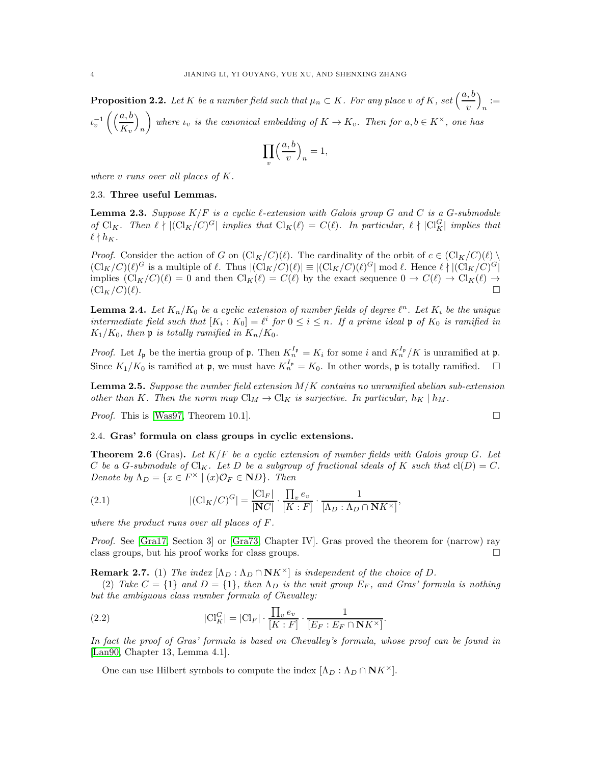**Proposition 2.2.** Let K be a number field such that  $\mu_n \subset K$ . For any place v of K, set  $\left(\frac{a, b}{v}\right)$  $\overline{ }$  $:=\frac{1}{n}$  $\iota_v^{-1}\left(\left(\frac{a,b}{K}\right)$  $K_v$  $\overline{ }$ n  $\setminus$ *where*  $\iota_v$  *is the canonical embedding of*  $K \to K_v$ *. Then for*  $a, b \in K^\times$ *, one has* 

$$
\prod_{v} \left(\frac{a, b}{v}\right)_n = 1,
$$

*where* v *runs over all places of* K*.*

## 2.3. Three useful Lemmas.

<span id="page-3-3"></span>Lemma 2.3. *Suppose* K/F *is a cyclic* ℓ*-extension with Galois group* G *and* C *is a* G*-submodule of* Cl<sub>K</sub>. Then  $\ell \nmid |(Cl_K/C)^G|$  *implies that*  $Cl_K(\ell) = C(\ell)$ . In particular,  $\ell \nmid |Cl_K^G|$  *implies that*  $\ell \nmid h_K$ .

*Proof.* Consider the action of G on  $\left(\frac{\text{Cl}_K}{C}\right)(\ell)$ . The cardinality of the orbit of  $c \in \left(\frac{\text{Cl}_K}{C}\right)(\ell)$  $(\text{Cl}_K/C)(\ell)^G$  is a multiple of  $\ell$ . Thus  $|(\text{Cl}_K/C)(\ell)| \equiv |(\text{Cl}_K/C)(\ell)^G| \mod \ell$ . Hence  $\ell \nmid |(\text{Cl}_K/C)^G|$ implies  $(\text{Cl}_K/C)(\ell) = 0$  and then  $\text{Cl}_K(\ell) = C(\ell)$  by the exact sequence  $0 \to C(\ell) \to \text{Cl}_K(\ell) \to$  $(\mathrm{Cl}_K/C)(\ell).$ 

<span id="page-3-0"></span>**Lemma 2.4.** Let  $K_n/K_0$  be a cyclic extension of number fields of degree  $\ell^n$ . Let  $K_i$  be the unique *intermediate field such that*  $[K_i : K_0] = \ell^i$  *for*  $0 \le i \le n$ *. If a prime ideal*  $\mathfrak{p}$  *of*  $K_0$  *is ramified in*  $K_1/K_0$ , then **p** is totally ramified in  $K_n/K_0$ .

*Proof.* Let  $I_p$  be the inertia group of  $\mathfrak{p}$ . Then  $K_n^{I_p} = K_i$  for some i and  $K_n^{I_p}/K$  is unramified at  $\mathfrak{p}$ . Since  $K_1/K_0$  is ramified at  $\mathfrak{p}$ , we must have  $K_n^{I_{\mathfrak{p}}}=K_0$ . In other words,  $\mathfrak{p}$  is totally ramified.  $\Box$ 

<span id="page-3-1"></span>Lemma 2.5. *Suppose the number field extension* M/K *contains no unramified abelian sub-extension other than* K. Then the norm map  $\text{Cl}_M \to \text{Cl}_K$  *is surjective. In particular,*  $h_K \mid h_M$ .

*Proof.* This is [\[Was97,](#page-21-4) Theorem 10.1]. □

## 2.4. Gras' formula on class groups in cyclic extensions.

Theorem 2.6 (Gras). *Let* K/F *be a cyclic extension of number fields with Galois group* G*. Let* C be a G-submodule of  $Cl_K$ . Let D be a subgroup of fractional ideals of K such that  $cl(D) = C$ . *Denote by*  $\Lambda_D = \{x \in F^\times \mid (x)\mathcal{O}_F \in \mathbf{N}D\}$ *. Then* 

<span id="page-3-4"></span>(2.1) 
$$
|(\text{Cl}_K/C)^G| = \frac{|\text{Cl}_F|}{|\text{NC}|} \cdot \frac{\prod_v e_v}{[K:F]} \cdot \frac{1}{[\Lambda_D : \Lambda_D \cap \text{N}K^\times]},
$$

*where the product runs over all places of* F*.*

*Proof.* See [\[Gra17,](#page-20-7) Section 3] or [\[Gra73,](#page-20-8) Chapter IV]. Gras proved the theorem for (narrow) ray class groups, but his proof works for class groups.

**Remark 2.7.** (1) *The index*  $[\Lambda_D : \Lambda_D \cap \mathbb{N}K^\times]$  *is independent of the choice of* D.

(2) Take  $C = \{1\}$  and  $D = \{1\}$ , then  $\Lambda_D$  is the unit group  $E_F$ , and Gras' formula is nothing *but the ambiguous class number formula of Chevalley:*

<span id="page-3-2"></span>(2.2) 
$$
|\mathrm{Cl}_K^G| = |\mathrm{Cl}_F| \cdot \frac{\prod_v e_v}{[K:F]} \cdot \frac{1}{[E_F : E_F \cap \mathbf{N} K^\times]}.
$$

*In fact the proof of Gras' formula is based on Chevalley's formula, whose proof can be found in* [\[Lan90,](#page-20-9) Chapter 13, Lemma 4.1]*.*

One can use Hilbert symbols to compute the index  $[\Lambda_D : \Lambda_D \cap \mathbf{N}K^\times]$ .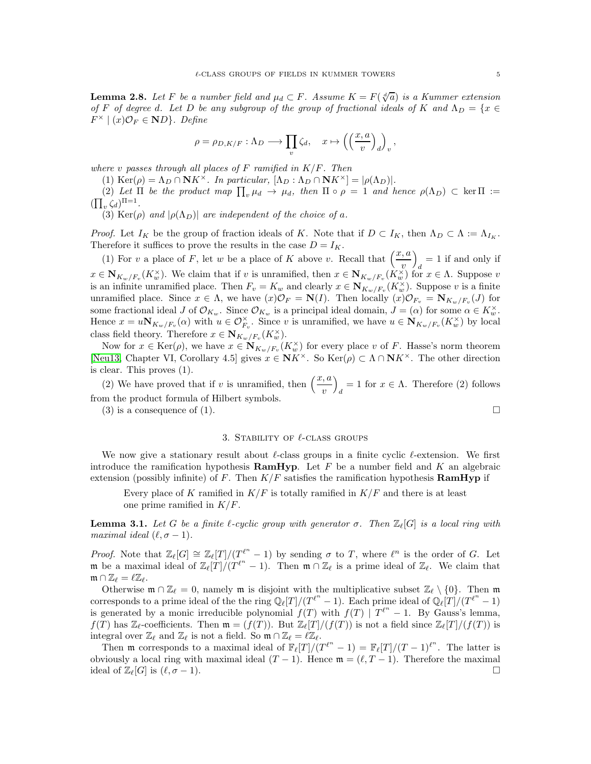<span id="page-4-0"></span>**Lemma 2.8.** Let F be a number field and  $\mu_d \subset F$ . Assume  $K = F(\sqrt[d]{a})$  is a Kummer extension *of* F *of degree d.* Let D *be any subgroup of the group of fractional ideals of* K and  $\Lambda_D = \{x \in$  $F^{\times} \mid (x)\mathcal{O}_F \in \mathbf{N}D$ . Define

$$
\rho = \rho_{D,K/F} : \Lambda_D \longrightarrow \prod_v \zeta_d, \quad x \mapsto \left( \left( \frac{x, a}{v} \right)_d \right)_v,
$$

*where* v *passes through all places of* F *ramified in* K/F*. Then*

(1) Ker( $\rho$ ) =  $\Lambda_D \cap \mathbf{N} K^\times$ . In particular,  $[\Lambda_D : \Lambda_D \cap \mathbf{N} K^\times] = |\rho(\Lambda_D)|$ .

(2) Let  $\Pi$  be the product map  $\prod_v \mu_d \to \mu_d$ , then  $\Pi \circ \rho = 1$  and hence  $\rho(\Lambda_D) \subset \ker \Pi :=$  $(\prod_{v} \zeta_d)^{\Pi=1}$ .

(3) Ker( $\rho$ ) *and*  $|\rho(\Lambda_D)|$  *are independent of the choice of a.* 

*Proof.* Let  $I_K$  be the group of fraction ideals of K. Note that if  $D \subset I_K$ , then  $\Lambda_D \subset \Lambda := \Lambda_{I_K}$ . Therefore it suffices to prove the results in the case  $D = I_K$ .

(1) For v a place of F, let w be a place of K above v. Recall that  $\left(\frac{x, a}{v}\right)$  $\setminus$  $d = 1$  if and only if  $x \in N_{K_w/F_v}(K_w^{\times})$ . We claim that if v is unramified, then  $x \in N_{K_w/F_v}(K_w^{\times})$  for  $x \in \Lambda$ . Suppose v is an infinite unramified place. Then  $F_v = K_w$  and clearly  $x \in N_{K_w/F_v}(K_w^{\times})$ . Suppose v is a finite unramified place. Since  $x \in \Lambda$ , we have  $(x)\mathcal{O}_F = \mathbf{N}(I)$ . Then locally  $(x)\mathcal{O}_{F_v} = \mathbf{N}_{K_w/F_v}(J)$  for some fractional ideal  $J$  of  $\mathcal{O}_{K_w}$ . Since  $\mathcal{O}_{K_w}$  is a principal ideal domain,  $J = (\alpha)$  for some  $\alpha \in K_w^{\times}$ . Hence  $x = u \mathbf{N}_{K_w/F_v}(\alpha)$  with  $u \in \mathcal{O}_{F_v}^{\times}$ . Since v is unramified, we have  $u \in \mathbf{N}_{K_w/F_v}(K_w^{\times})$  by local class field theory. Therefore  $x \in \mathbf{N}_{K_w/F_v}(K_w^{\times}).$ 

Now for  $x \in \text{Ker}(\rho)$ , we have  $x \in \mathbf{N}_{K_w/F_v}(K_w^{\times})$  for every place v of F. Hasse's norm theorem [\[Neu13,](#page-21-3) Chapter VI, Corollary 4.5] gives  $x \in \mathbb{N}K^{\times}$ . So  $\text{Ker}(\rho) \subset \Lambda \cap \mathbb{N}K^{\times}$ . The other direction is clear. This proves (1).

(2) We have proved that if v is unramified, then  $\left(\frac{x, a}{v}\right)$  $\overline{ }$  $d = 1$  for  $x \in \Lambda$ . Therefore (2) follows from the product formula of Hilbert symbols.

(3) is a consequence of (1).

### 3. STABILITY OF  $\ell$ -CLASS GROUPS

We now give a stationary result about  $\ell$ -class groups in a finite cyclic  $\ell$ -extension. We first introduce the ramification hypothesis  $\bf{RamHyp}$ . Let F be a number field and K an algebraic extension (possibly infinite) of F. Then  $K/F$  satisfies the ramification hypothesis **RamHyp** if

Every place of K ramified in  $K/F$  is totally ramified in  $K/F$  and there is at least one prime ramified in  $K/F$ .

**Lemma 3.1.** Let G be a finite l-cyclic group with generator  $\sigma$ . Then  $\mathbb{Z}_{\ell}[G]$  is a local ring with *maximal ideal*  $(\ell, \sigma - 1)$ *.* 

*Proof.* Note that  $\mathbb{Z}_{\ell}[G] \cong \mathbb{Z}_{\ell}[T]/(T_{\ell}^{\ell^{n}} - 1)$  by sending  $\sigma$  to T, where  $\ell^{n}$  is the order of G. Let **m** be a maximal ideal of  $\mathbb{Z}_{\ell}[T]/(T^{\ell^n} - 1)$ . Then  $\mathfrak{m} \cap \mathbb{Z}_{\ell}$  is a prime ideal of  $\mathbb{Z}_{\ell}$ . We claim that  $\mathfrak{m} \cap \mathbb{Z}_{\ell} = \ell \mathbb{Z}_{\ell}.$ 

Otherwise  $\mathfrak{m} \cap \mathbb{Z}_{\ell} = 0$ , namely  $\mathfrak{m}$  is disjoint with the multiplicative subset  $\mathbb{Z}_{\ell} \setminus \{0\}$ . Then  $\mathfrak{m}$ corresponds to a prime ideal of the the ring  $\mathbb{Q}_{\ell}[T]/(T^{\ell^n}-1)$ . Each prime ideal of  $\mathbb{Q}_{\ell}[T]/(T^{\ell^n}-1)$ is generated by a monic irreducible polynomial  $f(T)$  with  $f(T) | T^{\ell^n} - 1$ . By Gauss's lemma,  $f(T)$  has  $\mathbb{Z}_{\ell}$ -coefficients. Then  $\mathfrak{m} = (f(T))$ . But  $\mathbb{Z}_{\ell}[T]/(f(T))$  is not a field since  $\mathbb{Z}_{\ell}[T]/(f(T))$  is integral over  $\mathbb{Z}_{\ell}$  and  $\mathbb{Z}_{\ell}$  is not a field. So  $\mathfrak{m} \cap \mathbb{Z}_{\ell} = \ell \mathbb{Z}_{\ell}$ .

Then m corresponds to a maximal ideal of  $\mathbb{F}_{\ell}[T]/(T^{\ell^n}-1) = \mathbb{F}_{\ell}[T]/(T-1)^{\ell^n}$ . The latter is obviously a local ring with maximal ideal  $(T - 1)$ . Hence  $\mathfrak{m} = (\ell, T - 1)$ . Therefore the maximal ideal of  $\mathbb{Z}_{\ell}[G]$  is  $(\ell, \sigma - 1)$ . ideal of  $\mathbb{Z}_{\ell}[G]$  is  $(\ell, \sigma - 1)$ .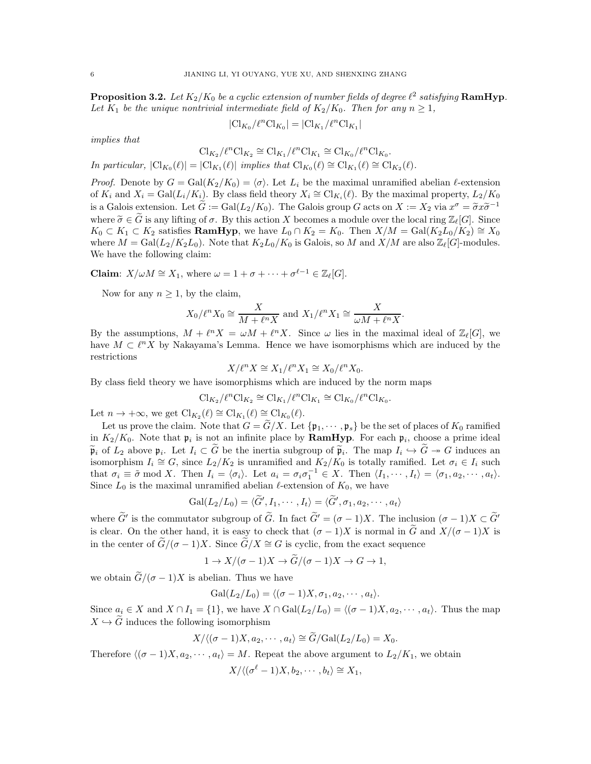<span id="page-5-0"></span>**Proposition 3.2.** Let  $K_2/K_0$  be a cyclic extension of number fields of degree  $\ell^2$  satisfying  $\textbf{RamHyp}$ . Let  $K_1$  be the unique nontrivial intermediate field of  $K_2/K_0$ . Then for any  $n \geq 1$ ,

$$
|\mathrm{Cl}_{K_0}/\ell^n \mathrm{Cl}_{K_0}| = |\mathrm{Cl}_{K_1}/\ell^n \mathrm{Cl}_{K_1}|
$$

*implies that*

$$
Cl_{K_2}/\ell^n Cl_{K_2} \cong Cl_{K_1}/\ell^n Cl_{K_1} \cong Cl_{K_0}/\ell^n Cl_{K_0}.
$$

*In particular,*  $|\text{Cl}_{K_0}(\ell)| = |\text{Cl}_{K_1}(\ell)|$  *implies that*  $\text{Cl}_{K_0}(\ell) \cong \text{Cl}_{K_1}(\ell) \cong \text{Cl}_{K_2}(\ell)$ .

*Proof.* Denote by  $G = \text{Gal}(K_2/K_0) = \langle \sigma \rangle$ . Let  $L_i$  be the maximal unramified abelian  $\ell$ -extension of  $K_i$  and  $X_i = \text{Gal}(L_i/K_i)$ . By class field theory  $X_i \cong \text{Cl}_{K_i}(\ell)$ . By the maximal property,  $L_2/K_0$ is a Galois extension. Let  $\tilde{G} := \text{Gal}(L_2/K_0)$ . The Galois group G acts on  $X := X_2$  via  $x^{\sigma} = \tilde{\sigma}x\tilde{\sigma}^{-1}$ where  $\tilde{\sigma} \in \tilde{G}$  is any lifting of  $\sigma$ . By this action X becomes a module over the local ring  $\mathbb{Z}_{\ell}[G]$ . Since  $K_0 \subset K_1 \subset K_2$  satisfies **RamHyp**, we have  $L_0 \cap K_2 = K_0$ . Then  $X/M = \text{Gal}(K_2L_0/K_2) \cong X_0$ where  $M = \text{Gal}(L_2/K_2L_0)$ . Note that  $K_2L_0/K_0$  is Galois, so M and  $X/M$  are also  $\mathbb{Z}_{\ell}[G]$ -modules. We have the following claim:

**Claim**:  $X/\omega M \cong X_1$ , where  $\omega = 1 + \sigma + \cdots + \sigma^{\ell-1} \in \mathbb{Z}_{\ell}[G]$ .

Now for any  $n \geq 1$ , by the claim,

$$
X_0/\ell^n X_0 \cong \frac{X}{M + \ell^n X} \text{ and } X_1/\ell^n X_1 \cong \frac{X}{\omega M + \ell^n X}.
$$

By the assumptions,  $M + \ell^n X = \omega M + \ell^n X$ . Since  $\omega$  lies in the maximal ideal of  $\mathbb{Z}_{\ell}[G]$ , we have  $M \subset \ell^n X$  by Nakayama's Lemma. Hence we have isomorphisms which are induced by the restrictions

$$
X/\ell^n X \cong X_1/\ell^n X_1 \cong X_0/\ell^n X_0.
$$

By class field theory we have isomorphisms which are induced by the norm maps

$$
Cl_{K_2}/\ell^n Cl_{K_2} \cong Cl_{K_1}/\ell^n Cl_{K_1} \cong Cl_{K_0}/\ell^n Cl_{K_0}.
$$

Let  $n \to +\infty$ , we get  $\text{Cl}_{K_2}(\ell) \cong \text{Cl}_{K_1}(\ell) \cong \text{Cl}_{K_0}(\ell)$ .

Let us prove the claim. Note that  $G = \tilde{G}/X$ . Let  $\{\mathfrak{p}_1, \cdots, \mathfrak{p}_s\}$  be the set of places of  $K_0$  ramified in  $K_2/K_0$ . Note that  $\mathfrak{p}_i$  is not an infinite place by **RamHyp**. For each  $\mathfrak{p}_i$ , choose a prime ideal  $\widetilde{\mathfrak{p}}_i$  of  $L_2$  above  $\mathfrak{p}_i$ . Let  $I_i \subset \widetilde{G}$  be the inertia subgroup of  $\widetilde{\mathfrak{p}}_i$ . The map  $I_i \hookrightarrow \widetilde{G} \twoheadrightarrow G$  induces an isomorphism  $I_i \cong G$ , since  $L_2/K_2$  is unramified and  $K_2/K_0$  is totally ramified. Let  $\sigma_i \in I_i$  such that  $\sigma_i \equiv \tilde{\sigma} \mod X$ . Then  $I_i = \langle \sigma_i \rangle$ . Let  $a_i = \sigma_i \sigma_1^{-1} \in X$ . Then  $\langle I_1, \cdots, I_t \rangle = \langle \sigma_1, a_2, \cdots, a_t \rangle$ . Since  $L_0$  is the maximal unramified abelian  $\ell$ -extension of  $K_0$ , we have

$$
\mathrm{Gal}(L_2/L_0)=\langle \widetilde{G}', I_1,\cdots,I_t\rangle=\langle \widetilde{G}', \sigma_1,a_2,\cdots,a_t\rangle
$$

where G' is the commutator subgroup of G. In fact  $G' = (\sigma - 1)X$ . The inclusion  $(\sigma - 1)X \subset G'$ is clear. On the other hand, it is easy to check that  $(\sigma - 1)X$  is normal in  $\widetilde{G}$  and  $X/(\sigma - 1)X$  is in the center of  $\tilde{G}/(\sigma - 1)X$ . Since  $\tilde{G}/X \cong G$  is cyclic, from the exact sequence

$$
1 \to X/(\sigma - 1)X \to \widetilde{G}/(\sigma - 1)X \to G \to 1,
$$

we obtain  $\tilde{G}/(\sigma - 1)X$  is abelian. Thus we have

$$
Gal(L_2/L_0) = \langle (\sigma - 1)X, \sigma_1, a_2, \cdots, a_t \rangle.
$$

Since  $a_i \in X$  and  $X \cap I_1 = \{1\}$ , we have  $X \cap \text{Gal}(L_2/L_0) = \langle (\sigma - 1)X, a_2, \cdots, a_t \rangle$ . Thus the map  $X \hookrightarrow \widetilde{G}$  induces the following isomorphism

$$
X/\langle (\sigma-1)X, a_2, \cdots, a_t \rangle \cong \widetilde{G}/\text{Gal}(L_2/L_0) = X_0.
$$

Therefore  $\langle (\sigma - 1)X, a_2, \cdots, a_t \rangle = M$ . Repeat the above argument to  $L_2/K_1$ , we obtain

$$
X/\langle (\sigma^{\ell}-1)X, b_2, \cdots, b_t \rangle \cong X_1,
$$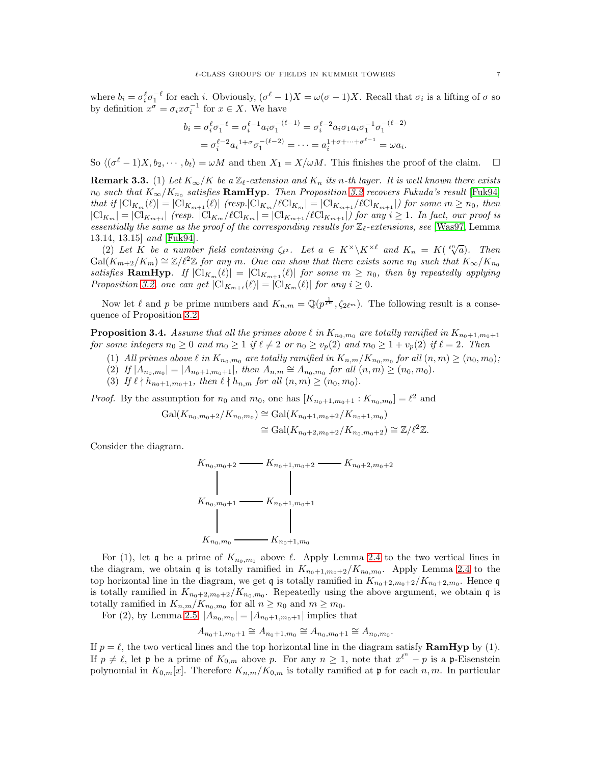where  $b_i = \sigma_i^{\ell} \sigma_1^{-\ell}$  for each i. Obviously,  $(\sigma^{\ell} - 1)X = \omega(\sigma - 1)X$ . Recall that  $\sigma_i$  is a lifting of  $\sigma$  so by definition  $x^{\sigma} = \sigma_i x \sigma_i^{-1}$  for  $x \in X$ . We have

$$
b_i = \sigma_i^{\ell} \sigma_1^{-\ell} = \sigma_i^{\ell-1} a_i \sigma_1^{-(\ell-1)} = \sigma_i^{\ell-2} a_i \sigma_1 a_i \sigma_1^{-1} \sigma_1^{-(\ell-2)}
$$
  
=  $\sigma_i^{\ell-2} a_i^{1+\sigma} \sigma_1^{-(\ell-2)} = \cdots = a_i^{1+\sigma+\cdots+\sigma^{\ell-1}} = \omega a_i.$ 

So  $\langle (\sigma^{\ell} - 1)X, b_2, \cdots, b_t \rangle = \omega M$  and then  $X_1 = X/\omega M$ . This finishes the proof of the claim.  $\square$ 

**Remark 3.3.** (1) Let  $K_{\infty}/K$  be a  $\mathbb{Z}_{\ell}$ -extension and  $K_n$  its n-th layer. It is well known there exists  $n_0$  such that  $K_{\infty}/K_{n_0}$  satisfies  $\textbf{RamHyp}$ . Then Proposition [3.2](#page-5-0) recovers Fukuda's result [\[Fuk94\]](#page-20-10) *that if*  $|Cl_{K_m}(\ell)| = |Cl_{K_{m+1}}(\ell)|$  *(resp.*] $Cl_{K_m}/\ell Cl_{K_m}| = |Cl_{K_{m+1}}/\ell Cl_{K_{m+1}}|$ *) for some*  $m \geq n_0$ *, then*  $|\mathrm{Cl}_{K_m}| = |\mathrm{Cl}_{K_{m+i}}|$  (resp.  $|\mathrm{Cl}_{K_m}/\ell\mathrm{Cl}_{K_m}| = |\mathrm{Cl}_{K_{m+1}}/\ell\mathrm{Cl}_{K_{m+1}}|$ ) for any  $i \geq 1$ . In fact, our proof is *essentially the same as the proof of the corresponding results for* Zℓ*-extensions, see* [\[Was97,](#page-21-4) Lemma 13.14, 13.15] *and* [\[Fuk94\]](#page-20-10)*.*

(2) Let  $K$  be a number field containing  $\zeta_{\ell^2}$ . Let  $a \in K^{\times} \backslash K^{\times \ell}$  and  $K_n = K(\sqrt[\ell^n]{a})$ . Then  $Gal(K_{m+2}/K_m) \cong \mathbb{Z}/\ell^2\mathbb{Z}$  *for any* m. One can show that there exists some  $n_0$  such that  $K_{\infty}/K_{n_0}$ *satisfies* **RamHyp**. If  $|Cl_{K_m}(\ell)| = |Cl_{K_{m+1}}(\ell)|$  *for some*  $m \geq n_0$ *, then by repeatedly applying Proposition* [3.2,](#page-5-0) *one can get*  $|\text{Cl}_{K_{m+i}}(\ell)| = |\text{Cl}_{K_m}(\ell)|$  *for any*  $i \geq 0$ *.* 

Now let  $\ell$  and  $p$  be prime numbers and  $K_{n,m} = \mathbb{Q}(p^{\frac{1}{\ell^n}}, \zeta_{2\ell^m})$ . The following result is a consequence of Proposition [3.2.](#page-5-0)

<span id="page-6-0"></span>**Proposition 3.4.** *Assume that all the primes above*  $\ell$  *in*  $K_{n_0,m_0}$  *are totally ramified in*  $K_{n_0+1,m_0+1}$ *for some integers*  $n_0 \geq 0$  *and*  $m_0 \geq 1$  *if*  $\ell \neq 2$  *or*  $n_0 \geq v_p(2)$  *and*  $m_0 \geq 1 + v_p(2)$  *if*  $\ell = 2$ *. Then* 

- (1) *All primes above*  $\ell$  *in*  $K_{n_0,m_0}$  *are totally ramified in*  $K_{n,m}/K_{n_0,m_0}$  *for all*  $(n,m) \ge (n_0,m_0)$ *;*
- (2) *If*  $|A_{n_0,m_0}| = |A_{n_0+1,m_0+1}|$ *, then*  $A_{n,m} \cong A_{n_0,m_0}$  for all  $(n,m) \ge (n_0,m_0)$ *.*
- (3) *If*  $\ell \nmid h_{n_0+1,m_0+1}$ *, then*  $\ell \nmid h_{n,m}$  *for all*  $(n,m) \geq (n_0, m_0)$ *.*

*Proof.* By the assumption for  $n_0$  and  $m_0$ , one has  $[K_{n_0+1,m_0+1} : K_{n_0,m_0}] = \ell^2$  and

$$
Gal(K_{n_0,m_0+2}/K_{n_0,m_0}) \cong Gal(K_{n_0+1,m_0+2}/K_{n_0+1,m_0})
$$
  

$$
\cong Gal(K_{n_0+2,m_0+2}/K_{n_0,m_0+2}) \cong \mathbb{Z}/\ell^2 \mathbb{Z}.
$$

Consider the diagram.

$$
K_{n_0, m_0+2} \longrightarrow K_{n_0+1, m_0+2} \longrightarrow K_{n_0+2, m_0+2}
$$
\n
$$
K_{n_0, m_0+1} \longrightarrow K_{n_0+1, m_0+1}
$$
\n
$$
K_{n_0, m_0} \longrightarrow K_{n_0+1, m_0}
$$

For (1), let q be a prime of  $K_{n_0,m_0}$  above  $\ell$ . Apply Lemma [2.4](#page-3-0) to the two vertical lines in the diagram, we obtain q is totally ramified in  $K_{n_0+1,m_0+2}/K_{n_0,m_0}$ . Apply Lemma [2.4](#page-3-0) to the top horizontal line in the diagram, we get  $\mathfrak q$  is totally ramified in  $K_{n_0+2,m_0+2}/K_{n_0+2,m_0}$ . Hence  $\mathfrak q$ is totally ramified in  $K_{n_0+2,m_0+2}/K_{n_0,m_0}$ . Repeatedly using the above argument, we obtain q is totally ramified in  $K_{n,m}/K_{n_0,m_0}$  for all  $n \geq n_0$  and  $m \geq m_0$ .

For (2), by Lemma [2.5,](#page-3-1)  $|A_{n_0,m_0}| = |A_{n_0+1,m_0+1}|$  implies that

$$
A_{n_0+1,m_0+1} \cong A_{n_0+1,m_0} \cong A_{n_0,m_0+1} \cong A_{n_0,m_0}
$$

.

If  $p = \ell$ , the two vertical lines and the top horizontal line in the diagram satisfy **RamHyp** by (1). If  $p \neq \ell$ , let p be a prime of  $K_{0,m}$  above p. For any  $n \geq 1$ , note that  $x^{\ell^n} - p$  is a p-Eisenstein polynomial in  $K_{0,m}[x]$ . Therefore  $K_{n,m}/K_{0,m}$  is totally ramified at p for each n, m. In particular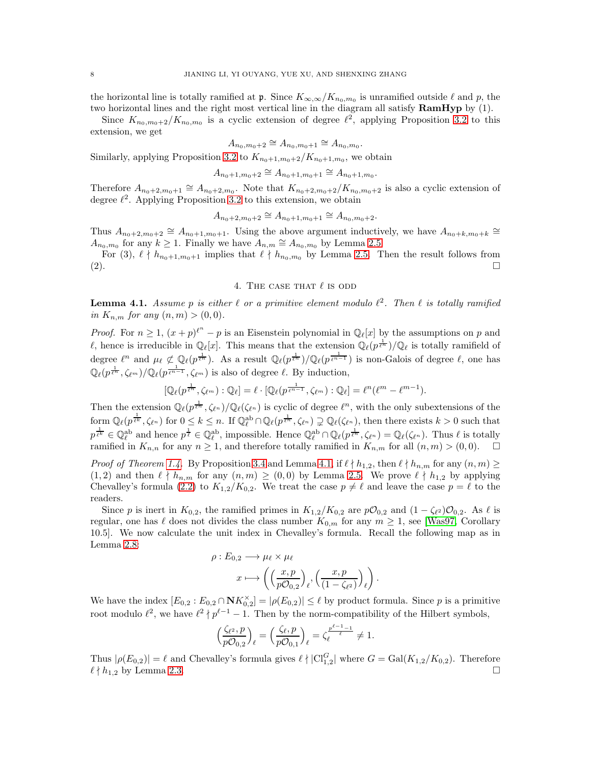the horizontal line is totally ramified at  $\mathfrak{p}$ . Since  $K_{\infty,\infty}/K_{n_0,m_0}$  is unramified outside  $\ell$  and  $p$ , the two horizontal lines and the right most vertical line in the diagram all satisfy **RamHyp** by (1).

Since  $K_{n_0,m_0+2}/K_{n_0,m_0}$  is a cyclic extension of degree  $\ell^2$ , applying Proposition [3.2](#page-5-0) to this extension, we get

$$
A_{n_0,m_0+2} \cong A_{n_0,m_0+1} \cong A_{n_0,m_0}.
$$

Similarly, applying Proposition [3.2](#page-5-0) to  $K_{n_0+1,m_0+2}/K_{n_0+1,m_0}$ , we obtain

$$
A_{n_0+1,m_0+2} \cong A_{n_0+1,m_0+1} \cong A_{n_0+1,m_0}.
$$

Therefore  $A_{n_0+2,m_0+1} \cong A_{n_0+2,m_0}$ . Note that  $K_{n_0+2,m_0+2}/K_{n_0,m_0+2}$  is also a cyclic extension of degree  $\ell^2$ . Applying Proposition [3.2](#page-5-0) to this extension, we obtain

$$
A_{n_0+2,m_0+2} \cong A_{n_0+1,m_0+1} \cong A_{n_0,m_0+2}.
$$

Thus  $A_{n_0+2,m_0+2} \cong A_{n_0+1,m_0+1}$ . Using the above argument inductively, we have  $A_{n_0+k,m_0+k} \cong$  $A_{n_0,m_0}$  for any  $k \geq 1$ . Finally we have  $A_{n,m} \cong A_{n_0,m_0}$  by Lemma [2.5.](#page-3-1)

For (3),  $\ell \nmid h_{n_0+1,m_0+1}$  implies that  $\ell \nmid h_{n_0,m_0}$  by Lemma [2.5.](#page-3-1) Then the result follows from  $(2).$ 

# 4. THE CASE THAT  $\ell$  is odd

<span id="page-7-0"></span>**Lemma 4.1.** Assume p is either  $\ell$  or a primitive element modulo  $\ell^2$ . Then  $\ell$  is totally ramified *in*  $K_{n,m}$  *for any*  $(n,m) > (0,0)$ *.* 

*Proof.* For  $n \geq 1$ ,  $(x+p)^{\ell^n} - p$  is an Eisenstein polynomial in  $\mathbb{Q}_{\ell}[x]$  by the assumptions on p and l, hence is irreducible in  $\mathbb{Q}_{\ell}[x]$ . This means that the extension  $\mathbb{Q}_{\ell}(p^{\frac{1}{\ell^{n}}})/\mathbb{Q}_{\ell}$  is totally ramifield of degree  $\ell^n$  and  $\mu_\ell \not\subset \mathbb{Q}_\ell(p^{\frac{1}{\ell^n}})$ . As a result  $\mathbb{Q}_\ell(p^{\frac{1}{\ell^n}})/\mathbb{Q}_\ell(p^{\frac{1}{\ell^{n-1}}})$  is non-Galois of degree  $\ell$ , one has  $\mathbb{Q}_{\ell}(p^{\frac{1}{\ell^{n}}}, \zeta_{\ell^{m}})/\mathbb{Q}_{\ell}(p^{\frac{1}{\ell^{n-1}}}, \zeta_{\ell^{m}})$  is also of degree  $\ell$ . By induction,

$$
[\mathbb{Q}_{\ell}(p^{\frac{1}{\ell^{n}}},\zeta_{\ell^{m}}):\mathbb{Q}_{\ell}]=\ell\cdot[\mathbb{Q}_{\ell}(p^{\frac{1}{\ell^{n-1}}},\zeta_{\ell^{m}}):\mathbb{Q}_{\ell}]=\ell^{n}(\ell^{m}-\ell^{m-1}).
$$

Then the extension  $\mathbb{Q}_{\ell}(p^{\frac{1}{\ell^n}}, \zeta_{\ell^n})/\mathbb{Q}_{\ell}(\zeta_{\ell^n})$  is cyclic of degree  $\ell^n$ , with the only subextensions of the  $\text{form } \mathbb{Q}_{\ell}(p^{\frac{1}{\ell^k}}, \zeta_{\ell^n}) \text{ for } 0 \leq k \leq n. \text{ If } \mathbb{Q}_{\ell}^{\text{ab}} \cap \mathbb{Q}_{\ell}(p^{\frac{1}{\ell^n}}, \zeta_{\ell^n}) \supsetneq \mathbb{Q}_{\ell}(\zeta_{\ell^n}), \text{ then there exists } k > 0 \text{ such that }$  $p^{\frac{1}{\ell^k}} \in \mathbb{Q}_{\ell}^{\text{ab}}$  and hence  $p^{\frac{1}{\ell}} \in \mathbb{Q}_{\ell}^{\text{ab}}$ , impossible. Hence  $\mathbb{Q}_{\ell}^{\text{ab}} \cap \mathbb{Q}_{\ell}(p^{\frac{1}{\ell^n}}, \zeta_{\ell^n}) = \mathbb{Q}_{\ell}(\zeta_{\ell^n})$ . Thus  $\ell$  is totally ramified in  $K_{n,n}$  for any  $n \geq 1$ , and therefore totally ramified in  $K_{n,m}$  for all  $(n,m) > (0,0)$ .  $\Box$ 

*Proof of Theorem [1.4.](#page-1-0)* By Proposition [3.4](#page-6-0) and Lemma [4.1,](#page-7-0) if  $\ell \nmid h_{1,2}$ , then  $\ell \nmid h_{n,m}$  for any  $(n,m) \geq$  $(1, 2)$  and then  $\ell \nmid h_{n,m}$  for any  $(n, m) \ge (0, 0)$  by Lemma [2.5.](#page-3-1) We prove  $\ell \nmid h_{1,2}$  by applying Chevalley's formula [\(2.2\)](#page-3-2) to  $K_{1,2}/K_{0,2}$ . We treat the case  $p \neq \ell$  and leave the case  $p = \ell$  to the readers.

Since p is inert in  $K_{0,2}$ , the ramified primes in  $K_{1,2}/K_{0,2}$  are  $p\mathcal{O}_{0,2}$  and  $(1 - \zeta_{\ell^2})\mathcal{O}_{0,2}$ . As  $\ell$  is regular, one has  $\ell$  does not divides the class number  $K_{0,m}$  for any  $m \geq 1$ , see [\[Was97,](#page-21-4) Corollary 10.5]. We now calculate the unit index in Chevalley's formula. Recall the following map as in Lemma [2.8:](#page-4-0)

$$
\rho: E_{0,2} \longrightarrow \mu_{\ell} \times \mu_{\ell}
$$

$$
x \longmapsto \left( \left( \frac{x, p}{p \mathcal{O}_{0,2}} \right)_{\ell}, \left( \frac{x, p}{(1 - \zeta_{\ell^2})} \right)_{\ell} \right).
$$

We have the index  $[E_{0,2}:E_{0,2}\cap \mathbf{N}K_{0,2}^{\times}]=|\rho(E_{0,2})|\leq \ell$  by product formula. Since p is a primitive root modulo  $\ell^2$ , we have  $\ell^2 \nmid p^{\ell-1} - 1$ . Then by the norm-compatibility of the Hilbert symbols,

$$
\Big(\frac{\zeta_{\ell^2},p}{p\mathcal{O}_{0,2}}\Big)_\ell=\Big(\frac{\zeta_{\ell},p}{p\mathcal{O}_{0,1}}\Big)_\ell=\zeta_\ell^{\frac{p^{\ell-1}-1}{\ell}}\neq 1.
$$

Thus  $|\rho(E_{0,2})| = \ell$  and Chevalley's formula gives  $\ell \nmid |\mathcal{Cl}_{1,2}^G|$  where  $G = \text{Gal}(K_{1,2}/K_{0,2})$ . Therefore  $\ell \nmid h_{1,2}$  by Lemma [2.3.](#page-3-3)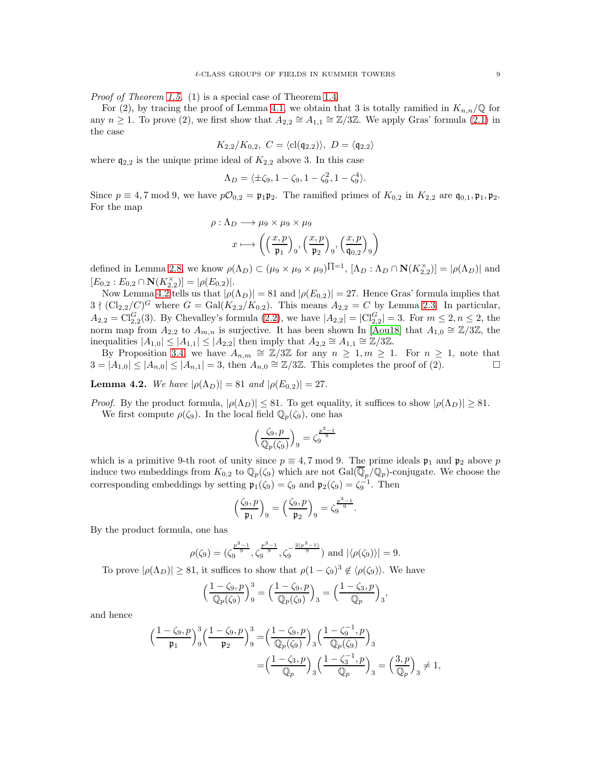*Proof of Theorem [1.5.](#page-1-1)* (1) is a special case of Theorem [1.4.](#page-1-0)

For (2), by tracing the proof of Lemma [4.1,](#page-7-0) we obtain that 3 is totally ramified in  $K_{n,n}/\mathbb{Q}$  for any  $n \geq 1$ . To prove (2), we first show that  $A_{2,2} \cong A_{1,1} \cong \mathbb{Z}/3\mathbb{Z}$ . We apply Gras' formula [\(2.1\)](#page-3-4) in the case

$$
K_{2,2}/K_{0,2}, C = \langle \text{cl}(\mathfrak{q}_{2,2}) \rangle, D = \langle \mathfrak{q}_{2,2} \rangle
$$

where  $q_{2,2}$  is the unique prime ideal of  $K_{2,2}$  above 3. In this case

$$
\Lambda_D = \langle \pm \zeta_9, 1 - \zeta_9, 1 - \zeta_9^2, 1 - \zeta_9^4 \rangle.
$$

Since  $p \equiv 4, 7 \mod 9$ , we have  $p\mathcal{O}_{0,2} = \mathfrak{p}_1 \mathfrak{p}_2$ . The ramified primes of  $K_{0,2}$  in  $K_{2,2}$  are  $\mathfrak{q}_{0,1}, \mathfrak{p}_1, \mathfrak{p}_2$ . For the map

$$
\rho: \Lambda_D \longrightarrow \mu_9 \times \mu_9 \times \mu_9
$$

$$
x \longmapsto \left( \left( \frac{x, p}{\mathfrak{p}_1} \right)_9, \left( \frac{x, p}{\mathfrak{p}_2} \right)_9, \left( \frac{x, p}{\mathfrak{q}_{0,2}} \right)_9 \right)
$$

defined in Lemma [2.8,](#page-4-0) we know  $\rho(\Lambda_D) \subset (\mu_9 \times \mu_9 \times \mu_9) \Pi^{-1}$ ,  $[\Lambda_D : \Lambda_D \cap N(K_{2,2}^{\times})] = |\rho(\Lambda_D)|$  and  $[E_{0,2}:E_{0,2}\cap \mathbf{N}(K_{2,2}^{\times})]=|\rho(E_{0,2})|.$ 

Now Lemma [4.2](#page-8-0) tells us that  $|\rho(\Lambda_D)| = 81$  and  $|\rho(E_{0,2})| = 27$ . Hence Gras' formula implies that  $3 \nmid (\text{Cl}_{2,2}/C)^G$  where  $G = \text{Gal}(K_{2,2}/K_{0,2})$ . This means  $A_{2,2} = C$  by Lemma [2.3.](#page-3-3) In particular,  $A_{2,2} = \text{Cl}_{2,2}^G(3)$ . By Chevalley's formula [\(2.2\)](#page-3-2), we have  $|A_{2,2}| = |\text{Cl}_{2,2}^G| = 3$ . For  $m \le 2, n \le 2$ , the norm map from  $A_{2,2}$  to  $A_{m,n}$  is surjective. It has been shown In [\[Aou18\]](#page-20-3) that  $A_{1,0} \cong \mathbb{Z}/3\mathbb{Z}$ , the inequalities  $|A_{1,0}| \leq |A_{1,1}| \leq |A_{2,2}|$  then imply that  $A_{2,2} \cong A_{1,1} \cong \mathbb{Z}/3\mathbb{Z}$ .

By Proposition [3.4,](#page-6-0) we have  $A_{n,m} \cong \mathbb{Z}/3\mathbb{Z}$  for any  $n \geq 1, m \geq 1$ . For  $n \geq 1$ , note that  $3 = |A_{1,0}| \leq |A_{n,0}| \leq |A_{n,1}| = 3$ , then  $A_{n,0} \cong \mathbb{Z}/3\mathbb{Z}$ . This completes the proof of (2).

<span id="page-8-0"></span>**Lemma 4.2.** *We have*  $|\rho(\Lambda_D)| = 81$  *and*  $|\rho(E_{0,2})| = 27$ *.* 

*Proof.* By the product formula,  $|\rho(\Lambda_D)| \leq 81$ . To get equality, it suffices to show  $|\rho(\Lambda_D)| \geq 81$ . We first compute  $\rho(\zeta_9)$ . In the local field  $\mathbb{Q}_p(\zeta_9)$ , one has

$$
\left(\frac{\zeta_9, p}{\mathbb{Q}_p(\zeta_9)}\right)_9 = \zeta_9^{\frac{p^3 - 1}{9}}
$$

which is a primitive 9-th root of unity since  $p \equiv 4, 7 \mod 9$ . The prime ideals  $\mathfrak{p}_1$  and  $\mathfrak{p}_2$  above p induce two embeddings from  $K_{0,2}$  to  $\mathbb{Q}_p(\zeta_9)$  which are not  $Gal(\overline{\mathbb{Q}}_p/\mathbb{Q}_p)$ -conjugate. We choose the corresponding embeddings by setting  $\mathfrak{p}_1(\zeta_9) = \zeta_9$  and  $\mathfrak{p}_2(\zeta_9) = \zeta_9^{-1}$ . Then

$$
\Big(\frac{\zeta_9,p}{\mathfrak{p}_1}\Big)_9=\Big(\frac{\zeta_9,p}{\mathfrak{p}_2}\Big)_9=\zeta_9^{\frac{p^3-1}{9}}.
$$

By the product formula, one has

$$
\rho(\zeta_9) = (\zeta_9^{\frac{p^3-1}{9}}, \zeta_9^{\frac{p^3-1}{9}}, \zeta_9^{-\frac{2(p^3-1)}{9}})
$$
 and  $|\langle \rho(\zeta_9) \rangle| = 9$ .

To prove  $|\rho(\Lambda_D)| \geq 81$ , it suffices to show that  $\rho(1-\zeta_9)^3 \notin \langle \rho(\zeta_9) \rangle$ . We have

$$
\left(\frac{1-\zeta_9, p}{\mathbb{Q}_p(\zeta_9)}\right)_9^3 = \left(\frac{1-\zeta_9, p}{\mathbb{Q}_p(\zeta_9)}\right)_3 = \left(\frac{1-\zeta_3, p}{\mathbb{Q}_p}\right)_3,
$$

and hence

$$
\begin{split} \Big(\frac{1-\zeta_9,p}{\mathfrak{p}_1}\Big)^3_g \Big(\frac{1-\zeta_9,p}{\mathfrak{p}_2}\Big)^3_g =& \Big(\frac{1-\zeta_9,p}{\mathbb{Q}_p(\zeta_9)}\Big)_3 \Big(\frac{1-\zeta_9^{-1},p}{\mathbb{Q}_p(\zeta_9)}\Big)_3 \\ =& \Big(\frac{1-\zeta_3,p}{\mathbb{Q}_p}\Big)_3 \Big(\frac{1-\zeta_3^{-1},p}{\mathbb{Q}_p}\Big)_3 = \Big(\frac{3,p}{\mathbb{Q}_p}\Big)_3 \neq 1, \end{split}
$$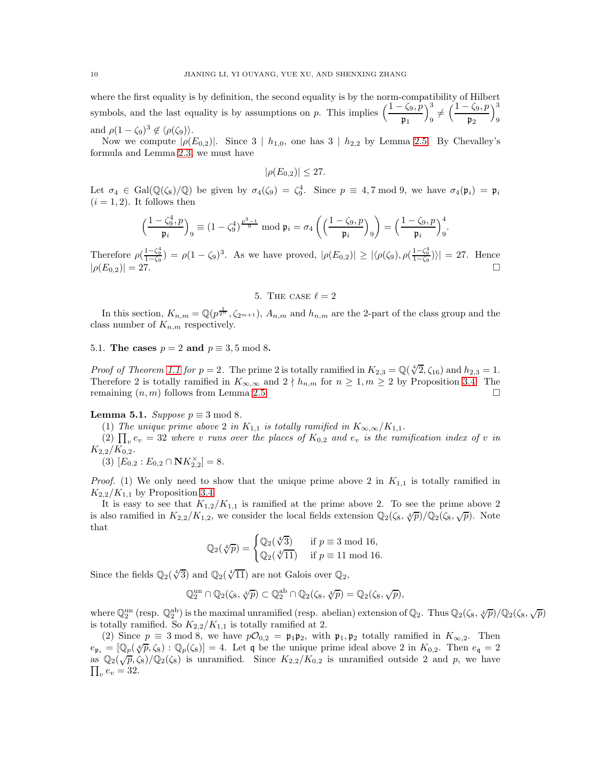where the first equality is by definition, the second equality is by the norm-compatibility of Hilbert symbols, and the last equality is by assumptions on p. This implies  $\left(\frac{1-\zeta_9, p}{\mathfrak{p}_1}\right)$  $\lambda^3$  $\frac{3}{9} \neq \Big(\frac{1-\zeta_9,p}{\mathfrak{p}_2}\Big)$  $\mathfrak{p}_2$  $\lambda^3$ 9 and  $\rho(1-\zeta_9)^3 \notin \langle \rho(\zeta_9) \rangle$ .

Now we compute  $|\rho(E_{0,2})|$ . Since  $3 | h_{1,0}$ , one has  $3 | h_{2,2}$  by Lemma [2.5.](#page-3-1) By Chevalley's formula and Lemma [2.3,](#page-3-3) we must have

$$
|\rho(E_{0,2})| \leq 27.
$$

Let  $\sigma_4 \in \text{Gal}(\mathbb{Q}(\zeta_8)/\mathbb{Q})$  be given by  $\sigma_4(\zeta_9) = \zeta_9^4$ . Since  $p \equiv 4, 7 \mod 9$ , we have  $\sigma_4(\mathfrak{p}_i) = \mathfrak{p}_i$  $(i = 1, 2)$ . It follows then

$$
\left(\frac{1-\zeta_9^4,p}{\mathfrak{p}_i}\right)_9 \equiv \left(1-\zeta_9^4\right)^{\frac{p^3-1}{9}} \text{mod } \mathfrak{p}_i = \sigma_4\left(\left(\frac{1-\zeta_9,p}{\mathfrak{p}_i}\right)_9\right) = \left(\frac{1-\zeta_9,p}{\mathfrak{p}_i}\right)_9^4.
$$

Therefore  $\rho(\frac{1-\zeta_9^4}{1-\zeta_9}) = \rho(1-\zeta_9)^3$ . As we have proved,  $|\rho(E_{0,2})| \ge |\langle \rho(\zeta_9), \rho(\frac{1-\zeta_9^4}{1-\zeta_9}) \rangle| = 27$ . Hence  $|\rho(E_{0,2})| = 27.$ 

### 5. THE CASE  $\ell = 2$

In this section,  $K_{n,m} = \mathbb{Q}(p^{\frac{1}{2^n}}, \zeta_{2^{m+1}}), A_{n,m}$  and  $h_{n,m}$  are the 2-part of the class group and the class number of  $K_{n,m}$  respectively.

# 5.1. The cases  $p = 2$  and  $p \equiv 3, 5 \mod 8$ .

*Proof of Theorem [1.1](#page-0-0) for*  $p = 2$ . The prime 2 is totally ramified in  $K_{2,3} = \mathbb{Q}(\sqrt[4]{2}, \zeta_{16})$  and  $h_{2,3} = 1$ . Therefore 2 is totally ramified in  $K_{\infty,\infty}$  and  $2 \nmid h_{n,m}$  for  $n \geq 1, m \geq 2$  by Proposition [3.4.](#page-6-0) The remaining  $(n, m)$  follows from Lemma 2.5. remaining  $(n, m)$  follows from Lemma [2.5.](#page-3-1)

## <span id="page-9-0"></span>**Lemma 5.1.** *Suppose*  $p \equiv 3 \mod 8$ *.*

(1) *The unique prime above* 2 *in*  $K_{1,1}$  *is totally ramified in*  $K_{\infty,\infty}/K_{1,1}$ *.* 

(2)  $\prod_{v} e_v = 32$  where v runs over the places of  $K_{0,2}$  and  $e_v$  is the ramification index of v in  $K_{2,2}/K_{0,2}$ .

(3)  $[E_{0,2}: E_{0,2} \cap \mathbf{N} K_{2,2}^{\times}] = 8.$ 

*Proof.* (1) We only need to show that the unique prime above 2 in  $K_{1,1}$  is totally ramified in  $K_{2,2}/K_{1,1}$  by Proposition [3.4.](#page-6-0)

It is easy to see that  $K_{1,2}/K_{1,1}$  is ramified at the prime above 2. To see the prime above 2 is also ramified in  $K_{2,2}/K_{1,2}$ , we consider the local fields extension  $\mathbb{Q}_2(\zeta_8, \sqrt{\gamma})/\mathbb{Q}_2(\zeta_8, \sqrt{\gamma})$ . Note that

$$
\mathbb{Q}_2(\sqrt[4]{p}) = \begin{cases} \mathbb{Q}_2(\sqrt[4]{3}) & \text{if } p \equiv 3 \bmod 16, \\ \mathbb{Q}_2(\sqrt[4]{11}) & \text{if } p \equiv 11 \bmod 16. \end{cases}
$$

Since the fields  $\mathbb{Q}_2(\sqrt[4]{3})$  and  $\mathbb{Q}_2(\sqrt[4]{11})$  are not Galois over  $\mathbb{Q}_2$ ,

$$
\mathbb{Q}_2^\mathrm{un} \cap \mathbb{Q}_2(\zeta_8,\sqrt[4]{p}) \subset \mathbb{Q}_2^\mathrm{ab} \cap \mathbb{Q}_2(\zeta_8,\sqrt[4]{p}) = \mathbb{Q}_2(\zeta_8,\sqrt{p}),
$$

where  $\mathbb{Q}_2^{\text{un}}$  (resp.  $\mathbb{Q}_2^{\text{ab}}$ ) is the maximal unramified (resp. abelian) extension of  $\mathbb{Q}_2$ . Thus  $\mathbb{Q}_2(\zeta_8, \sqrt[4]{p})/\mathbb{Q}_2(\zeta_8, \sqrt{p})$ is totally ramified. So  $K_{2,2}/K_{1,1}$  is totally ramified at 2.

(2) Since  $p \equiv 3 \mod 8$ , we have  $p\mathcal{O}_{0,2} = \mathfrak{p}_1 \mathfrak{p}_2$ , with  $\mathfrak{p}_1, \mathfrak{p}_2$  totally ramified in  $K_{\infty,2}$ . Then  $e_{\mathfrak{p}_i} = [\mathbb{Q}_p(\sqrt[4]{p}, \zeta_8) : \mathbb{Q}_p(\zeta_8)] = 4$ . Let q be the unique prime ideal above 2 in  $K_{0,2}$ . Then  $e_q = 2$ as  $\mathbb{Q}_2(\sqrt{p}, \zeta_8)/\mathbb{Q}_2(\zeta_8)$  is unramified. Since  $K_{2,2}/K_{0,2}$  is unramified outside 2 and p, we have  $\prod_v e_v = 32.$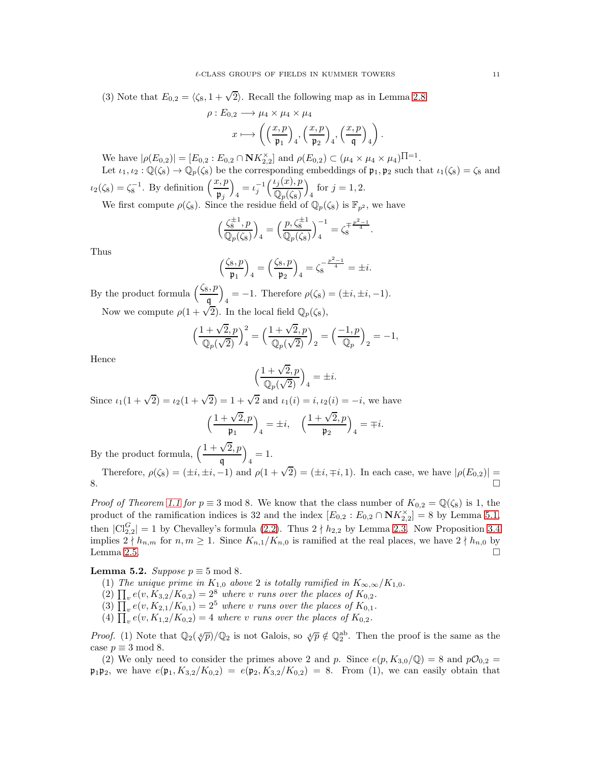(3) Note that  $E_{0,2} = \langle \zeta_8, 1 + \sqrt{2} \rangle$ . Recall the following map as in Lemma [2.8:](#page-4-0)

$$
\rho: E_{0,2} \longrightarrow \mu_4 \times \mu_4 \times \mu_4
$$

$$
x \longmapsto \left( \left( \frac{x,p}{\mathfrak{p}_1} \right)_4, \left( \frac{x,p}{\mathfrak{p}_2} \right)_4, \left( \frac{x,p}{\mathfrak{q}} \right)_4 \right).
$$

We have  $|\rho(E_{0,2})| = [E_{0,2} : E_{0,2} \cap \mathbf{N} K_{2,2}^{\times}]$  and  $\rho(E_{0,2}) \subset (\mu_4 \times \mu_4 \times \mu_4)^{\prod_{i=1}^{n}}$ . Let  $\iota_1, \iota_2 : \mathbb{Q}(\zeta_8) \to \mathbb{Q}_p(\zeta_8)$  be the corresponding embeddings of  $\mathfrak{p}_1, \mathfrak{p}_2$  such that  $\iota_1(\zeta_8) = \zeta_8$  and

$$
\iota_2(\zeta_8) = \zeta_8^{-1}.
$$
 By definition  $\left(\frac{x,p}{\mathfrak{p}_j}\right)_4 = \iota_j^{-1} \left(\frac{\iota_j(x), p}{\mathbb{Q}_p(\zeta_8)}\right)_4$  for  $j = 1, 2$ .  
We first compute  $\varrho(\zeta_8)$ . Since the residue field of  $\mathbb{Q}_p(\zeta_8)$  is  $\mathbb{F}_p$ .

We first compute  $\rho(\zeta_8)$ . Since the residue field of  $\mathbb{Q}_p(\zeta_8)$  is  $\mathbb{F}_{p^2}$ , we have

$$
\left(\frac{\zeta_8^{\pm 1}, p}{\mathbb{Q}_p(\zeta_8)}\right)_4 = \left(\frac{p, \zeta_8^{\pm 1}}{\mathbb{Q}_p(\zeta_8)}\right)_4^{-1} = \zeta_8^{\mp \frac{p^2 - 1}{4}}.
$$

Thus

$$
\left(\frac{\zeta_8, p}{\mathfrak{p}_1}\right)_4 = \left(\frac{\zeta_8, p}{\mathfrak{p}_2}\right)_4 = \zeta_8^{-\frac{p^2 - 1}{4}} = \pm i.
$$

By the product formula  $\left(\frac{\zeta_8, p}{\mathfrak{q}}\right)$  $\overline{\phantom{0}}$  $\mu_4 = -1$ . Therefore  $\rho(\zeta_8) = (\pm i, \pm i, -1)$ . Now we compute  $\rho(1+\sqrt{2})$ . In the local field  $\mathbb{Q}_p(\zeta_8)$ ,

$$
\Big(\frac{1+\sqrt{2},p}{\mathbb{Q}_p(\sqrt{2})}\Big)_4^2=\Big(\frac{1+\sqrt{2},p}{\mathbb{Q}_p(\sqrt{2})}\Big)_2=\Big(\frac{-1,p}{\mathbb{Q}_p}\Big)_2=-1,
$$

Hence

$$
\Big(\frac{1+\sqrt{2},p}{\mathbb{Q}_p(\sqrt{2})}\Big)_4 = \pm i.
$$

Since  $\iota_1(1+\sqrt{2}) = \iota_2(1+\sqrt{2}) = 1+\sqrt{2}$  and  $\iota_1(i) = i, \iota_2(i) = -i$ , we have

$$
\left(\frac{1+\sqrt{2},p}{\mathfrak{p}_1}\right)_4 = \pm i, \quad \left(\frac{1+\sqrt{2},p}{\mathfrak{p}_2}\right)_4 = \mp i.
$$

By the product formula,  $\left(\frac{1+\sqrt{2}, p}{p}\right)$ q  $\overline{ }$  $_{4} = 1.$ 

Therefore, 
$$
\rho(\zeta_8) = (\pm i, \pm i, -1)
$$
 and  $\rho(1 + \sqrt{2}) = (\pm i, \mp i, 1)$ . In each case, we have  $|\rho(E_{0,2})| =$  8.

*Proof of Theorem [1.1](#page-0-0) for*  $p \equiv 3 \mod 8$ . We know that the class number of  $K_{0,2} = \mathbb{Q}(\zeta_8)$  is 1, the product of the ramification indices is 32 and the index  $[E_{0,2} : E_{0,2} \cap \mathbf{N}K_{2,2}^{\times}] = 8$  by Lemma [5.1,](#page-9-0) then  $|\text{Cl}_{2,2}^G|=1$  by Chevalley's formula [\(2.2\)](#page-3-2). Thus  $2 \nmid h_{2,2}$  by Lemma [2.3.](#page-3-3) Now Proposition [3.4](#page-6-0) implies  $2 \nmid h_{n,m}$  for  $n, m \geq 1$ . Since  $K_{n,1}/K_{n,0}$  is ramified at the real places, we have  $2 \nmid h_{n,0}$  by Lemma [2.5.](#page-3-1)

# **Lemma 5.2.** *Suppose*  $p \equiv 5 \mod 8$ *.*

- (1) *The unique prime in*  $K_{1,0}$  *above* 2 *is totally ramified in*  $K_{\infty,\infty}/K_{1,0}$ *.*
- (2)  $\prod_{v} e(v, K_{3,2}/K_{0,2}) = 2^{8}$  *where v runs over the places of*  $K_{0,2}$ *.*
- (3)  $\prod_{v} e(v, K_{2,1}/K_{0,1}) = 2^5$  *where v runs over the places of*  $K_{0,1}$ *.*
- (4)  $\prod_{v} e(v, K_{1,2}/K_{0,2}) = 4$  *where v runs over the places of*  $K_{0,2}$ *.*

*Proof.* (1) Note that  $\mathbb{Q}_2(\sqrt[4]{p})/\mathbb{Q}_2$  is not Galois, so  $\sqrt[4]{p} \notin \mathbb{Q}_2^{ab}$ . Then the proof is the same as the case  $p \equiv 3 \mod 8$ .

(2) We only need to consider the primes above 2 and p. Since  $e(p, K_{3,0}/\mathbb{Q}) = 8$  and  $p\mathcal{O}_{0,2} =$  $\mathfrak{p}_1 \mathfrak{p}_2$ , we have  $e(\mathfrak{p}_1, K_{3,2}/K_{0,2}) = e(\mathfrak{p}_2, K_{3,2}/K_{0,2}) = 8$ . From (1), we can easily obtain that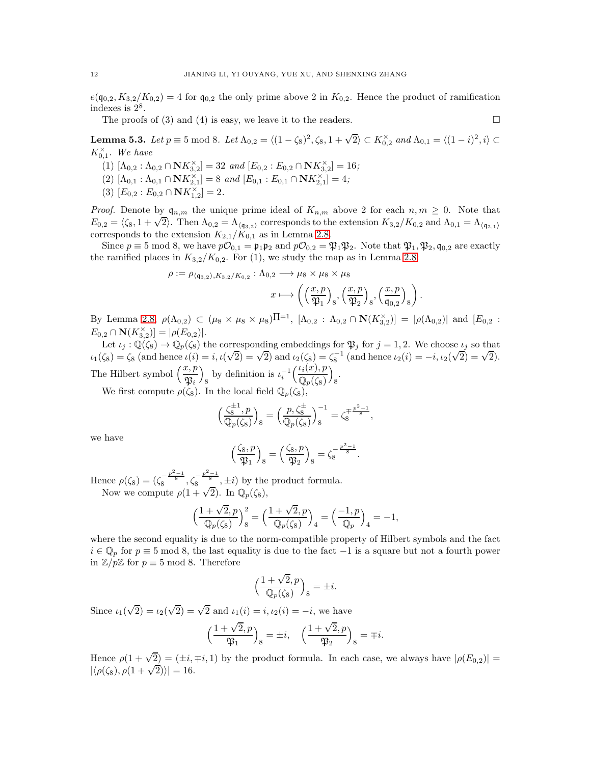$e(\mathfrak{q}_{0,2}, K_{3,2}/K_{0,2}) = 4$  for  $\mathfrak{q}_{0,2}$  the only prime above 2 in  $K_{0,2}$ . Hence the product of ramification indexes is 2<sup>8</sup> .

The proofs of (3) and (4) is easy, we leave it to the readers.  $\Box$ 

<span id="page-11-0"></span>**Lemma 5.3.** *Let*  $p \equiv 5 \mod 8$ *. Let*  $\Lambda_{0,2} = \langle (1 - \zeta_8)^2, \zeta_8, 1 + \sqrt{2} \rangle \subset K_{0,2}^{\times}$  *and*  $\Lambda_{0,1} = \langle (1 - i)^2, i \rangle \subset$  $K_{0,1}^{\times}$ . We have

- (1)  $[\Lambda_{0,2} : \Lambda_{0,2} \cap \mathbf{N} K_{3,2}^{\times}] = 32 \text{ and } [E_{0,2} : E_{0,2} \cap \mathbf{N} K_{3,2}^{\times}] = 16;$
- $(2)$   $[\Lambda_{0,1} : \Lambda_{0,1} \cap \mathbf{N}K_{2,1}^{\times}] = 8$  *and*  $[E_{0,1} : E_{0,1} \cap \mathbf{N}K_{2,1}^{\times}] = 4;$
- (3)  $[E_{0,2}: E_{0,2} \cap \mathbf{N}K_{1,2}^{\times}] = 2.$

*Proof.* Denote by  $\mathfrak{q}_{n,m}$  the unique prime ideal of  $K_{n,m}$  above 2 for each  $n, m \geq 0$ . Note that  $E_{0,2} = \langle \zeta_8, 1 + \sqrt{2} \rangle$ . Then  $\Lambda_{0,2} = \Lambda_{\langle q_{3,2} \rangle}$  corresponds to the extension  $K_{3,2}/K_{0,2}$  and  $\Lambda_{0,1} = \Lambda_{\langle q_{2,1} \rangle}$ corresponds to the extension  $K_{2,1}/K_{0,1}$  as in Lemma [2.8.](#page-4-0)

Since  $p \equiv 5 \mod 8$ , we have  $p\mathcal{O}_{0,1} = \mathfrak{p}_1\mathfrak{p}_2$  and  $p\mathcal{O}_{0,2} = \mathfrak{P}_1\mathfrak{P}_2$ . Note that  $\mathfrak{P}_1, \mathfrak{P}_2, \mathfrak{q}_{0,2}$  are exactly the ramified places in  $K_{3,2}/K_{0,2}$ . For (1), we study the map as in Lemma [2.8:](#page-4-0)

$$
\rho := \rho_{\langle \mathfrak{q}_{3,2} \rangle, K_{3,2}/K_{0,2}} : \Lambda_{0,2} \longrightarrow \mu_8 \times \mu_8 \times \mu_8
$$

$$
x \longmapsto \left( \left( \frac{x, p}{\mathfrak{P}_1} \right)_8, \left( \frac{x, p}{\mathfrak{P}_2} \right)_8, \left( \frac{x, p}{\mathfrak{q}_{0,2}} \right)_8 \right).
$$

By Lemma [2.8,](#page-4-0)  $\rho(\Lambda_{0,2}) \subset (\mu_8 \times \mu_8 \times \mu_8)$   $\Pi=1$ ,  $[\Lambda_{0,2} : \Lambda_{0,2} \cap \mathbf{N}(K_{3,2}^{\times})] = |\rho(\Lambda_{0,2})|$  and  $[E_{0,2} :$  $E_{0,2} \cap \mathbf{N}(K_{3,2}^{\times})] = |\rho(E_{0,2})|.$ 

Let  $\iota_j : \mathbb{Q}(\zeta_8) \to \mathbb{Q}_p(\zeta_8)$  the corresponding embeddings for  $\mathfrak{P}_j$  for  $j = 1, 2$ . We choose  $\iota_j$  so that  $i_1(\zeta_8) = \zeta_8$  (and hence  $i(i) = i, i(\sqrt{2}) = \sqrt{2}$ ) and  $i_2(\zeta_8) = \zeta_8^{-1}$  (and hence  $i_2(i) = -i, i_2(\sqrt{2}) = \sqrt{2}$ ). The Hilbert symbol  $\left(\frac{x, p}{\mathfrak{P}_i}\right)$  $\overline{ }$ s by definition is  $\iota_i^{-1}\Big(\frac{\iota_i(x), p}{\mathbb{Q}_p(\zeta_8)}\Big)$  $\mathbb{Q}_p(\zeta_8)$  $\overline{ }$ 8 .

We first compute  $\rho(\zeta_8)$ . In the local field  $\mathbb{Q}_p(\zeta_8)$ ,

$$
\left(\frac{\zeta_8^{\pm 1}, p}{\mathbb{Q}_p(\zeta_8)}\right)_8 = \left(\frac{p, \zeta_8^{\pm}}{\mathbb{Q}_p(\zeta_8)}\right)_8^{-1} = \zeta_8^{\mp \frac{p^2 - 1}{8}},
$$

we have

$$
\left(\frac{\zeta_8, p}{\mathfrak{P}_1}\right)_8 = \left(\frac{\zeta_8, p}{\mathfrak{P}_2}\right)_8 = \zeta_8^{-\frac{p^2-1}{8}}.
$$

Hence  $\rho(\zeta_8) = (\zeta_8^{-\frac{p^2-1}{8}}, \zeta_8^{-\frac{p^2-1}{8}}, \pm i)$  by the product formula.<br>Now we compute  $\rho(1+\sqrt{2})$ . In  $\mathbb{Q}_p(\zeta_8)$ ,

$$
\Big(\frac{1+\sqrt{2},p}{\mathbb{Q}_p(\zeta_8)}\Big)_8^2=\Big(\frac{1+\sqrt{2},p}{\mathbb{Q}_p(\zeta_8)}\Big)_4=\Big(\frac{-1,p}{\mathbb{Q}_p}\Big)_4=-1,
$$

where the second equality is due to the norm-compatible property of Hilbert symbols and the fact  $i \in \mathbb{Q}_p$  for  $p \equiv 5 \mod 8$ , the last equality is due to the fact  $-1$  is a square but not a fourth power in  $\mathbb{Z}/p\mathbb{Z}$  for  $p \equiv 5 \mod 8$ . Therefore

$$
\Big(\frac{1+\sqrt{2},p}{\mathbb{Q}_p(\zeta_8)}\Big)_8 = \pm i.
$$

Since  $\iota_1(\sqrt{2}) = \iota_2(\sqrt{2}) = \sqrt{2}$  and  $\iota_1(i) = i, \iota_2(i) = -i$ , we have

$$
\Big(\frac{1+\sqrt{2},p}{\mathfrak{P}_1}\Big)_8=\pm i,\quad \Big(\frac{1+\sqrt{2},p}{\mathfrak{P}_2}\Big)_8=\mp i.
$$

Hence  $\rho(1+\sqrt{2}) = (\pm i, \mp i, 1)$  by the product formula. In each case, we always have  $|\rho(E_{0,2})|$  $|\langle \rho(\zeta_8), \rho(1+\sqrt{2}) \rangle| = 16.$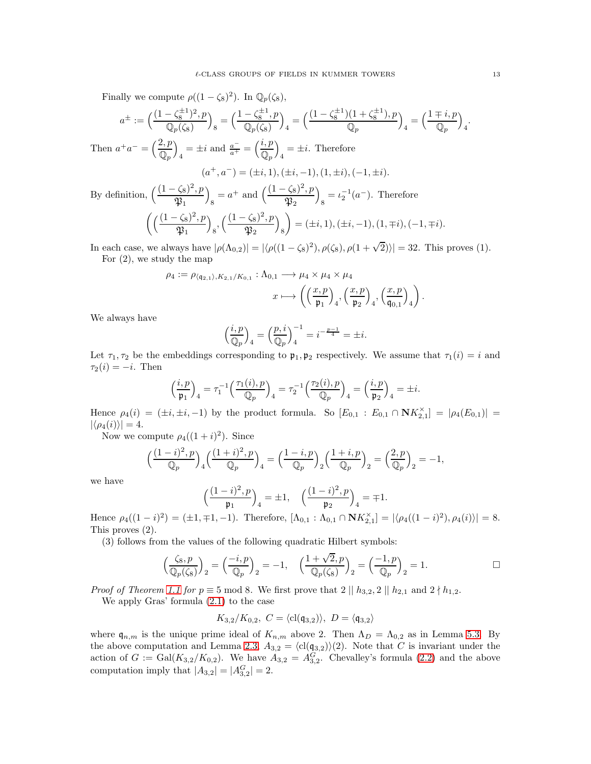Finally we compute  $\rho((1 - \zeta_8)^2)$ . In  $\mathbb{Q}_p(\zeta_8)$ ,

$$
a^{\pm} := \left(\frac{(1 - \zeta_8^{\pm 1})^2, p}{\mathbb{Q}_p(\zeta_8)}\right)_8 = \left(\frac{1 - \zeta_8^{\pm 1}, p}{\mathbb{Q}_p(\zeta_8)}\right)_4 = \left(\frac{(1 - \zeta_8^{\pm 1})(1 + \zeta_8^{\pm 1}), p}{\mathbb{Q}_p}\right)_4 = \left(\frac{1 \mp i, p}{\mathbb{Q}_p}\right)_4.
$$

Then  $a^+a^- = \left(\frac{2, p}{2, p}\right)$  $\mathbb{Q}_p$  $\overline{ }$  $\frac{1}{4} = \pm i$  and  $\frac{a^{-}}{a^{+}} = \left(\frac{i}{\mathbb{Q}_p}\right)$  $\mathbb{Q}_p$  $\overline{ }$  $\frac{4}{4} = \pm i$ . Therefore

$$
(a^+, a^-) = (\pm i, 1), (\pm i, -1), (1, \pm i), (-1, \pm i).
$$

By definition,  $\left(\frac{(1-\zeta_8)^2, p}{\infty}\right)$  $\mathfrak{P}_1$  $\overline{\phantom{0}}$  $s = a^+$  and  $\left(\frac{(1-\zeta_8)^2, p}{\mathfrak{P}_2}\right)$  $\mathfrak{P}_2$  $\overline{ }$  $s = \iota_2^{-1}(a^-)$ . Therefore  $\int (\frac{(1-\zeta_8)^2, p}{p})$  $\mathfrak{P}_1$  $\setminus$  $_{8}, \Big(\frac{(1-\zeta_8)^2, p}{\mathfrak{P}_2}$  $\mathfrak{P}_2$  $\setminus$ 8  $\setminus$  $=(\pm i, 1), (\pm i, -1), (1, \mp i), (-1, \mp i).$ 

In each case, we always have  $|\rho(\Lambda_{0,2})| = |\langle \rho((1-\zeta_8)^2), \rho(\zeta_8), \rho(1+\sqrt{2}) \rangle| = 32$ . This proves (1). For (2), we study the map

$$
\rho_4 := \rho_{\langle \mathfrak{q}_{2,1} \rangle, K_{2,1}/K_{0,1}} : \Lambda_{0,1} \longrightarrow \mu_4 \times \mu_4 \times \mu_4
$$

$$
x \longmapsto \left( \left( \frac{x, p}{\mathfrak{p}_1} \right)_4, \left( \frac{x, p}{\mathfrak{p}_2} \right)_4, \left( \frac{x, p}{\mathfrak{q}_{0,1}} \right)_4 \right).
$$

We always have

$$
\left(\frac{i,p}{\mathbb{Q}_p}\right)_4 = \left(\frac{p,i}{\mathbb{Q}_p}\right)_4^{-1} = i^{-\frac{p-1}{4}} = \pm i.
$$

Let  $\tau_1, \tau_2$  be the embeddings corresponding to  $\mathfrak{p}_1, \mathfrak{p}_2$  respectively. We assume that  $\tau_1(i) = i$  and  $\tau_2(i) = -i$ . Then

$$
\left(\frac{i,p}{\mathfrak{p}_1}\right)_4 = \tau_1^{-1} \left(\frac{\tau_1(i),p}{\mathbb{Q}_p}\right)_4 = \tau_2^{-1} \left(\frac{\tau_2(i),p}{\mathbb{Q}_p}\right)_4 = \left(\frac{i,p}{\mathfrak{p}_2}\right)_4 = \pm i.
$$

Hence  $\rho_4(i) = (\pm i, \pm i, -1)$  by the product formula. So  $[E_{0,1} : E_{0,1} \cap \mathbf{N} K_{2,1}^{\times}] = |\rho_4(E_{0,1})| =$  $|\langle \rho_4(i)\rangle| = 4.$ 

Now we compute  $\rho_4((1+i)^2)$ . Since

$$
\left(\frac{(1-i)^2,p}{\mathbb{Q}_p}\right)_4\left(\frac{(1+i)^2,p}{\mathbb{Q}_p}\right)_4=\left(\frac{1-i,p}{\mathbb{Q}_p}\right)_2\left(\frac{1+i,p}{\mathbb{Q}_p}\right)_2=\left(\frac{2,p}{\mathbb{Q}_p}\right)_2=-1,
$$

we have

$$
\left(\frac{(1-i)^2, p}{\mathfrak{p}_1}\right)_4 = \pm 1, \quad \left(\frac{(1-i)^2, p}{\mathfrak{p}_2}\right)_4 = \mp 1.
$$

Hence  $\rho_4((1-i)^2) = (\pm 1, \mp 1, -1)$ . Therefore,  $[\Lambda_{0,1} : \Lambda_{0,1} \cap \mathbf{N} K_{2,1}^{\times}] = |\langle \rho_4((1-i)^2), \rho_4(i) \rangle| = 8$ . This proves (2).

(3) follows from the values of the following quadratic Hilbert symbols:

$$
\Big(\frac{\zeta_8,p}{\mathbb{Q}_p(\zeta_8)}\Big)_2=\Big(\frac{-i,p}{\mathbb{Q}_p}\Big)_2=-1,\quad \Big(\frac{1+\sqrt{2},p}{\mathbb{Q}_p(\zeta_8)}\Big)_2=\Big(\frac{-1,p}{\mathbb{Q}_p}\Big)_2=1.
$$

*Proof of Theorem [1.1](#page-0-0) for*  $p \equiv 5 \mod 8$ . We first prove that  $2 \mid h_{3,2}, 2 \mid h_{2,1}$  and  $2 \nmid h_{1,2}$ .

We apply Gras' formula [\(2.1\)](#page-3-4) to the case

$$
K_{3,2}/K_{0,2}, C = \langle \text{cl}(\mathfrak{q}_{3,2}) \rangle, D = \langle \mathfrak{q}_{3,2} \rangle
$$

where  $\mathfrak{q}_{n,m}$  is the unique prime ideal of  $K_{n,m}$  above 2. Then  $\Lambda_D = \Lambda_{0,2}$  as in Lemma [5.3.](#page-11-0) By the above computation and Lemma [2.3,](#page-3-3)  $A_{3,2} = \langle cl(\mathfrak{q}_{3,2})\rangle(2)$ . Note that C is invariant under the action of  $G := \text{Gal}(K_{3,2}/K_{0,2})$ . We have  $A_{3,2} = A_{3,2}^G$ . Chevalley's formula [\(2.2\)](#page-3-2) and the above computation imply that  $|A_{3,2}| = |A_{3,2}^G| = 2$ .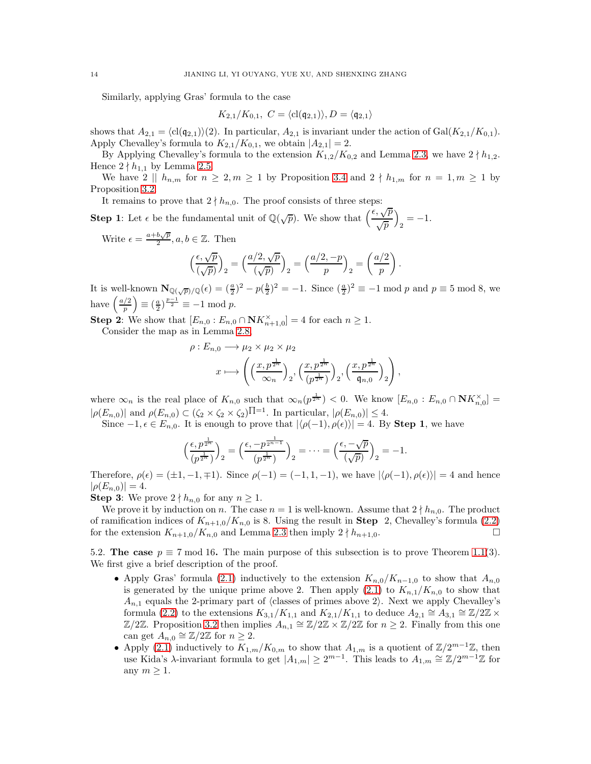Similarly, applying Gras' formula to the case

$$
K_{2,1}/K_{0,1}, C = \langle \text{cl}(\mathfrak{q}_{2,1}) \rangle, D = \langle \mathfrak{q}_{2,1} \rangle
$$

shows that  $A_{2,1} = \langle \text{cl}(\mathfrak{q}_{2,1}) \rangle (2)$ . In particular,  $A_{2,1}$  is invariant under the action of Gal(K<sub>2,1</sub>/K<sub>0,1</sub>). Apply Chevalley's formula to  $K_{2,1}/K_{0,1}$ , we obtain  $|A_{2,1}|=2$ .

By Applying Chevalley's formula to the extension  $K_{1,2}/K_{0,2}$  and Lemma [2.3,](#page-3-3) we have  $2 \nmid h_{1,2}$ . Hence  $2 \nmid h_{1,1}$  by Lemma [2.5.](#page-3-1)

We have  $2 \parallel h_{n,m}$  for  $n \geq 2, m \geq 1$  by Proposition [3.4](#page-6-0) and  $2 \nmid h_{1,m}$  for  $n = 1, m \geq 1$  by Proposition [3.2.](#page-5-0)

It remains to prove that  $2 \nmid h_{n,0}$ . The proof consists of three steps:

**Step 1:** Let  $\epsilon$  be the fundamental unit of  $\mathbb{Q}(\sqrt{p})$ . We show that  $\left(\frac{\epsilon, \sqrt{p}}{\epsilon}\right)$ √ p  $\setminus$  $\frac{1}{2} = -1.$ 

Write  $\epsilon = \frac{a+b\sqrt{p}}{2}$  $\frac{\partial \sqrt{p}}{2}, a, b \in \mathbb{Z}$ . Then

$$
\left(\frac{\epsilon,\sqrt{p}}{(\sqrt{p})}\right)_2 = \left(\frac{a/2,\sqrt{p}}{(\sqrt{p})}\right)_2 = \left(\frac{a/2,-p}{p}\right)_2 = \left(\frac{a/2}{p}\right).
$$

It is well-known  $\mathbf{N}_{\mathbb{Q}(\sqrt{p})/\mathbb{Q}}(\epsilon) = \left(\frac{a}{2}\right)^2 - p\left(\frac{b}{2}\right)^2 = -1$ . Since  $\left(\frac{a}{2}\right)^2 \equiv -1 \mod p$  and  $p \equiv 5 \mod 8$ , we have  $\left(\frac{a/2}{n}\right)$ p  $\left(\frac{a}{2}\right)^{\frac{p-1}{2}} \equiv -1 \mod p.$ 

**Step 2:** We show that  $[E_{n,0}: E_{n,0} \cap \mathbf{N} K_{n+1,0}^{\times}] = 4$  for each  $n \geq 1$ . Consider the map as in Lemma [2.8,](#page-4-0)

$$
\rho: E_{n,0} \longrightarrow \mu_2 \times \mu_2 \times \mu_2
$$

$$
x \longmapsto \left( \left( \frac{x, p^{\frac{1}{2^n}}}{\infty_n} \right)_2, \left( \frac{x, p^{\frac{1}{2^n}}}{(p^{\frac{1}{2^n}})} \right)_2, \left( \frac{x, p^{\frac{1}{2^n}}}{\mathfrak{q}_{n,0}} \right)_2 \right),
$$

where  $\infty_n$  is the real place of  $K_{n,0}$  such that  $\infty_n(p^{\frac{1}{2^n}}) < 0$ . We know  $[E_{n,0} : E_{n,0} \cap \mathbf{N}K_{n,0}^{\times}] =$  $|\rho(E_{n,0})|$  and  $\rho(E_{n,0}) \subset (\zeta_2 \times \zeta_2 \times \zeta_2)\Pi^{-1}$ . In particular,  $|\rho(E_{n,0})| \leq 4$ .

Since  $-1, \epsilon \in E_{n,0}$ . It is enough to prove that  $|\langle \rho(-1), \rho(\epsilon) \rangle| = 4$ . By Step 1, we have

$$
\left(\frac{\epsilon, p^{\frac{1}{2^n}}}{(p^{\frac{1}{2^n}})}\right)_2 = \left(\frac{\epsilon, -p^{\frac{1}{2^{n-1}}}}{(p^{\frac{1}{2^n}})}\right)_2 = \dots = \left(\frac{\epsilon, -\sqrt{p}}{(\sqrt{p})}\right)_2 = -1.
$$

Therefore,  $\rho(\epsilon) = (\pm 1, -1, \mp 1)$ . Since  $\rho(-1) = (-1, 1, -1)$ , we have  $|\langle \rho(-1), \rho(\epsilon) \rangle| = 4$  and hence  $|\rho(E_{n,0})|=4.$ 

**Step 3:** We prove  $2 \nmid h_{n,0}$  for any  $n \geq 1$ .

We prove it by induction on n. The case  $n = 1$  is well-known. Assume that  $2 \nmid h_{n,0}$ . The product of ramification indices of  $K_{n+1,0}/K_{n,0}$  is 8. Using the result in **Step** 2, Chevalley's formula [\(2.2\)](#page-3-2) for the extension  $K_{n+1,0}/K_{n,0}$  and Lemma [2.3](#page-3-3) then imply  $2 \nmid h_{n+1,0}$ .

<span id="page-13-0"></span>5.2. The case  $p \equiv 7 \mod 16$ . The main purpose of this subsection is to prove Theorem [1.1\(](#page-0-0)3). We first give a brief description of the proof.

- Apply Gras' formula [\(2.1\)](#page-3-4) inductively to the extension  $K_{n,0}/K_{n-1,0}$  to show that  $A_{n,0}$ is generated by the unique prime above 2. Then apply  $(2.1)$  to  $K_{n,1}/K_{n,0}$  to show that  $A_{n,1}$  equals the 2-primary part of  $\langle$  classes of primes above 2 $\rangle$ . Next we apply Chevalley's formula [\(2.2\)](#page-3-2) to the extensions  $K_{3,1}/K_{1,1}$  and  $K_{2,1}/K_{1,1}$  to deduce  $A_{2,1} \cong A_{3,1} \cong \mathbb{Z}/2\mathbb{Z} \times$  $\mathbb{Z}/2\mathbb{Z}$ . Proposition [3.2](#page-5-0) then implies  $A_{n,1} \cong \mathbb{Z}/2\mathbb{Z} \times \mathbb{Z}/2\mathbb{Z}$  for  $n \geq 2$ . Finally from this one can get  $A_{n,0} \cong \mathbb{Z}/2\mathbb{Z}$  for  $n \geq 2$ .
- Apply [\(2.1\)](#page-3-4) inductively to  $K_{1,m}/K_{0,m}$  to show that  $A_{1,m}$  is a quotient of  $\mathbb{Z}/2^{m-1}\mathbb{Z}$ , then use Kida's  $\lambda$ -invariant formula to get  $|A_{1,m}| \geq 2^{m-1}$ . This leads to  $A_{1,m} \cong \mathbb{Z}/2^{m-1}\mathbb{Z}$  for any  $m \geq 1$ .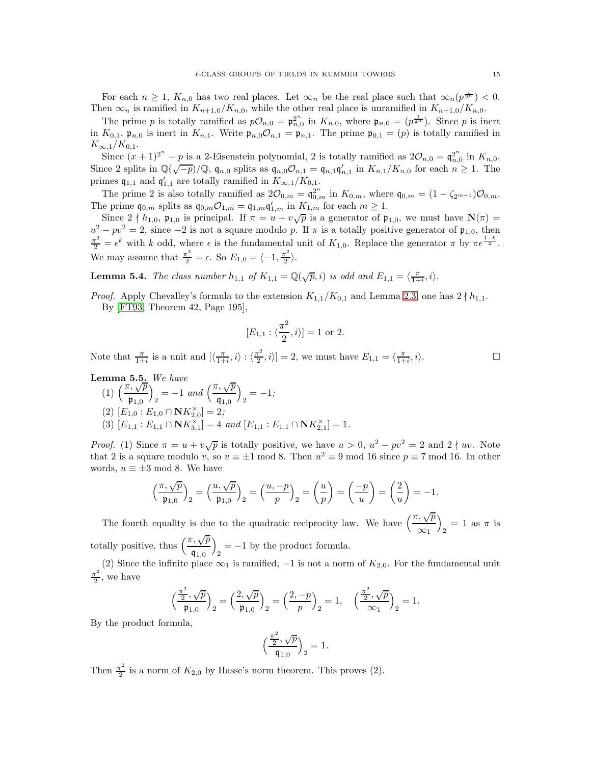For each  $n \geq 1$ ,  $K_{n,0}$  has two real places. Let  $\infty_n$  be the real place such that  $\infty_n(p^{\frac{1}{2^n}}) < 0$ . Then  $\infty_n$  is ramified in  $K_{n+1,0}/K_{n,0}$ , while the other real place is unramified in  $K_{n+1,0}/K_{n,0}$ .

The prime p is totally ramified as  $p\mathcal{O}_{n,0} = \mathfrak{p}_{n,0}^{2^n}$  in  $K_{n,0}$ , where  $\mathfrak{p}_{n,0} = (p^{\frac{1}{2^n}})$ . Since p is inert in  $K_{0,1}$ ,  $\mathfrak{p}_{n,0}$  is inert in  $K_{n,1}$ . Write  $\mathfrak{p}_{n,0}\mathcal{O}_{n,1} = \mathfrak{p}_{n,1}$ . The prime  $\mathfrak{p}_{0,1} = (p)$  is totally ramified in  $K_{\infty,1}/K_{0,1}.$ 

Since  $(x+1)^{2^n} - p$  is a 2-Eisenstein polynomial, 2 is totally ramified as  $2\mathcal{O}_{n,0} = \mathfrak{q}_{n,0}^{2^n}$  in  $K_{n,0}$ . Since 2 splits in  $\mathbb{Q}(\sqrt{-p})/\mathbb{Q}$ ,  $\mathfrak{q}_{n,0}$  splits as  $\mathfrak{q}_{n,0}\mathcal{O}_{n,1} = \mathfrak{q}_{n,1}\mathfrak{q}_{n,1}'$  in  $K_{n,1}/K_{n,0}$  for each  $n \geq 1$ . The primes  $\mathfrak{q}_{1,1}$  and  $\mathfrak{q}'_{1,1}$  are totally ramified in  $K_{\infty,1}/K_{0,1}$ .

The prime 2 is also totally ramified as  $2\mathcal{O}_{0,m} = \mathfrak{q}_{0,m}^{2^n}$  in  $K_{0,m}$ , where  $\mathfrak{q}_{0,m} = (1 - \zeta_{2^{m+1}})\mathcal{O}_{0,m}$ . The prime  $\mathfrak{q}_{0,m}$  splits as  $\mathfrak{q}_{0,m}\mathcal{O}_{1,m}=\mathfrak{q}_{1,m}\mathfrak{q}'_{1,m}$  in  $K_{1,m}$  for each  $m\geq 1$ .

Since  $2 \nmid h_{1,0}$ ,  $\mathfrak{p}_{1,0}$  is principal. If  $\pi = u + v\sqrt{p}$  is a generator of  $\mathfrak{p}_{1,0}$ , we must have  $\mathbf{N}(\pi) =$  $u^2 - pv^2 = 2$ , since  $-2$  is not a square modulo p. If  $\pi$  is a totally positive generator of  $\mathfrak{p}_{1,0}$ , then  $\frac{\pi^2}{2} = \epsilon^k$  with k odd, where  $\epsilon$  is the fundamental unit of  $K_{1,0}$ . Replace the generator  $\pi$  by  $\pi \epsilon^{\frac{1-k}{2}}$ . We may assume that  $\frac{\pi^2}{2} = \epsilon$ . So  $E_{1,0} = \langle -1, \frac{\pi^2}{2} \rangle$  $\frac{r}{2}$ .

**Lemma 5.4.** *The class number*  $h_{1,1}$  *of*  $K_{1,1} = \mathbb{Q}(\sqrt{p}, i)$  *is odd and*  $E_{1,1} = \langle \frac{\pi}{1+i}, i \rangle$ *.* 

*Proof.* Apply Chevalley's formula to the extension  $K_{1,1}/K_{0,1}$  and Lemma [2.3,](#page-3-3) one has  $2 \nmid h_{1,1}$ . By [\[FT93,](#page-20-11) Theorem 42, Page 195],

$$
[E_{1,1}:\langle \frac{\pi^2}{2}, i \rangle] = 1 \text{ or } 2.
$$

Note that  $\frac{\pi}{1+i}$  is a unit and  $\left[\left\langle \frac{\pi}{1+i},i\right\rangle \right]\left\langle \frac{\pi^2}{2}\right]$  $\left[\frac{\pi^2}{2}, i\right] = 2$ , we must have  $E_{1,1} = \langle \frac{\pi}{1+i}, i \rangle$ .

<span id="page-14-0"></span>**Lemma 5.5.** We have<br>
(1)  $\left(\frac{\pi, \sqrt{p}}{p}\right) = -1$  $\mathfrak{p}_{1,0}$  $\setminus$  $\sum_{2}^{\infty}$  = -1 and  $\left(\frac{\pi, \sqrt{p}}{q_{1,0}}\right)$  $q_{1,0}$  $\setminus$  $i_2 = -1;$  $(2)$   $[E_{1,0} : E_{1,0} \cap \mathbf{N} K_{2,0}^{\times}] = 2;$ (3)  $[E_{1,1} : E_{1,1} \cap \mathbf{N} K_{3,1}^{\times}] = 4$  *and*  $[E_{1,1} : E_{1,1} \cap \mathbf{N} K_{2,1}^{\times}] = 1$ *.* 

*Proof.* (1) Since  $\pi = u + v\sqrt{p}$  is totally positive, we have  $u > 0$ ,  $u^2 - pv^2 = 2$  and  $2 \nmid uv$ . Note that 2 is a square modulo v, so  $v \equiv \pm 1 \mod 8$ . Then  $u^2 \equiv 9 \mod 16$  since  $p \equiv 7 \mod 16$ . In other words,  $u \equiv \pm 3 \mod 8$ . We have

$$
\left(\frac{\pi,\sqrt{p}}{\mathfrak{p}_{1,0}}\right)_2 = \left(\frac{u,\sqrt{p}}{\mathfrak{p}_{1,0}}\right)_2 = \left(\frac{u,-p}{p}\right)_2 = \left(\frac{u}{p}\right) = \left(\frac{-p}{u}\right) = \left(\frac{2}{u}\right) = -1.
$$

The fourth equality is due to the quadratic reciprocity law. We have  $\left(\frac{\pi, \sqrt{p}}{\sqrt{p}}\right)$  $\infty_1$  $\setminus$  $_2 = 1$  as  $\pi$  is totally positive, thus  $\left(\frac{\pi, \sqrt{p}}{p}\right)$  $q_{1,0}$  $\overline{ }$  $_2 = -1$  by the product formula.

(2) Since the infinite place  $\infty_1$  is ramified,  $-1$  is not a norm of  $K_{2,0}$ . For the fundamental unit  $\pi^2$  $\frac{1}{2}$ , we have

$$
\left(\frac{\frac{\pi^2}{2}, \sqrt{p}}{\mathfrak{p}_{1,0}}\right)_2 = \left(\frac{2, \sqrt{p}}{\mathfrak{p}_{1,0}}\right)_2 = \left(\frac{2, -p}{p}\right)_2 = 1, \quad \left(\frac{\frac{\pi^2}{2}, \sqrt{p}}{\infty_1}\right)_2 = 1.
$$

By the product formula,

$$
\left(\frac{\frac{\pi^2}{2}, \sqrt{p}}{\mathfrak{q}_{1,0}}\right)_2 = 1.
$$

Then  $\frac{\pi^2}{2}$  $\frac{\tau^2}{2}$  is a norm of  $K_{2,0}$  by Hasse's norm theorem. This proves (2).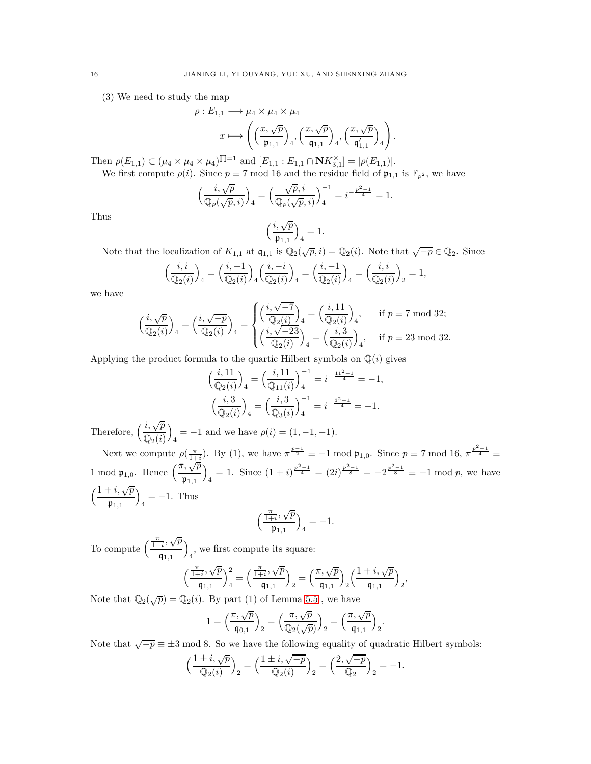(3) We need to study the map

$$
\rho: E_{1,1} \longrightarrow \mu_4 \times \mu_4 \times \mu_4
$$

$$
x \longmapsto \left( \left( \frac{x, \sqrt{p}}{\mathfrak{p}_{1,1}} \right)_4, \left( \frac{x, \sqrt{p}}{\mathfrak{q}_{1,1}} \right)_4, \left( \frac{x, \sqrt{p}}{\mathfrak{q}'_{1,1}} \right)_4 \right).
$$

Then  $\rho(E_{1,1}) \subset (\mu_4 \times \mu_4 \times \mu_4)$   $\Pi=1$  and  $[E_{1,1} : E_{1,1} \cap \mathbf{N}K_{3,1}^{\times}] = |\rho(E_{1,1})|$ . We first compute  $\rho(i)$ . Since  $p \equiv 7 \mod 16$  and the residue field of  $\mathfrak{p}_{1,1}$  is  $\mathbb{F}_{p^2}$ , we have

$$
\Big(\frac{i,\sqrt{p}}{\mathbb{Q}_p(\sqrt{p},i)}\Big)_4 = \Big(\frac{\sqrt{p},i}{\mathbb{Q}_p(\sqrt{p},i)}\Big)_4^{-1} = i^{-\frac{p^2-1}{4}} = 1.
$$

Thus

$$
\Big(\frac{i,\sqrt{p}}{\mathfrak{p}_{1,1}}\Big)_4=1.
$$

Note that the localization of  $K_{1,1}$  at  $\mathfrak{q}_{1,1}$  is  $\mathbb{Q}_2(\sqrt{p},i) = \mathbb{Q}_2(i)$ . Note that  $\sqrt{-p} \in \mathbb{Q}_2$ . Since

$$
\left(\frac{i, i}{\mathbb{Q}_2(i)}\right)_4 = \left(\frac{i, -1}{\mathbb{Q}_2(i)}\right)_4 \left(\frac{i, -i}{\mathbb{Q}_2(i)}\right)_4 = \left(\frac{i, -1}{\mathbb{Q}_2(i)}\right)_4 = \left(\frac{i, i}{\mathbb{Q}_2(i)}\right)_2 = 1,
$$

we have

 $\mathfrak{p}_{1,1}$ 

$$
\Big(\frac{i,\sqrt{p}}{\mathbb{Q}_2(i)}\Big)_4=\Big(\frac{i,\sqrt{-p}}{\mathbb{Q}_2(i)}\Big)_4=\begin{cases} \Big(\frac{i,\sqrt{-7}}{\mathbb{Q}_2(i)}\Big)_4=\Big(\frac{i,11}{\mathbb{Q}_2(i)}\Big)_4, &\text{if } p\equiv 7\text{ mod }32; \\ \Big(\frac{i,\sqrt{-23}}{\mathbb{Q}_2(i)}\Big)_4=\Big(\frac{i,3}{\mathbb{Q}_2(i)}\Big)_4, &\text{if } p\equiv 23\text{ mod }32. \end{cases}
$$

Applying the product formula to the quartic Hilbert symbols on  $\mathbb{Q}(i)$  gives

$$
\left(\frac{i,11}{\mathbb{Q}_2(i)}\right)_4 = \left(\frac{i,11}{\mathbb{Q}_{11}(i)}\right)_4^{-1} = i^{-\frac{11^2-1}{4}} = -1,
$$

$$
\left(\frac{i,3}{\mathbb{Q}_2(i)}\right)_4 = \left(\frac{i,3}{\mathbb{Q}_3(i)}\right)_4^{-1} = i^{-\frac{3^2-1}{4}} = -1.
$$

Therefore,  $\left(\frac{i,\sqrt{p}}{2\sqrt{p}}\right)$  $\mathbb{Q}_2(i)$  $\setminus$  $\mu_4 = -1$  and we have  $\rho(i) = (1, -1, -1)$ . Next we compute  $\rho(\frac{\pi}{1+i})$ . By (1), we have  $\pi^{\frac{p-1}{2}} \equiv -1 \mod \mathfrak{p}_{1,0}$ . Since  $p \equiv 7 \mod 16$ ,  $\pi^{\frac{p^2-1}{4}} \equiv$ 1 mod  $\mathfrak{p}_{1,0}$ . Hence  $\left(\frac{\pi, \sqrt{p}}{n}\right)$  $\overline{\phantom{0}}$ 

 $\mathfrak{p}_{1,1}$  $\frac{4}{4} = 1$ . Since  $\left(1 + i\right)^{\frac{p^2-1}{4}} = \left(2i\right)^{\frac{p^2-1}{8}} = -2^{\frac{p^2-1}{8}} \equiv -1 \mod p$ , we have  $(1+i, \sqrt{p})$  $\overline{\phantom{0}}$  $_4 = -1.$  Thus

$$
\Big(\frac{\frac{\pi}{1+i},\sqrt{p}}{\mathfrak{p}_{1,1}}\Big)_4=-1.
$$

To compute  $\left(\frac{\frac{\pi}{1+i},\sqrt{p}}{\cdots}\right)$  $q_{1,1}$  $\overline{ }$ 4 , we first compute its square:  $(\frac{\pi}{1+}$ √  $\cdot$  /

$$
\left(\frac{\frac{\pi}{1+i},\sqrt{p}}{\mathfrak{q}_{1,1}}\right)_4^2 = \left(\frac{\frac{\pi}{1+i},\sqrt{p}}{\mathfrak{q}_{1,1}}\right)_2 = \left(\frac{\pi,\sqrt{p}}{\mathfrak{q}_{1,1}}\right)_2 \left(\frac{1+i,\sqrt{p}}{\mathfrak{q}_{1,1}}\right)_2,
$$

Note that  $\mathbb{Q}_2(\sqrt{p}) = \mathbb{Q}_2(i)$ . By part (1) of Lemma [5.5](#page-14-0), we have

$$
1=\Bigl(\frac{\pi,\sqrt{p}}{\mathfrak{q}_{0,1}}\Bigr)_2=\Bigl(\frac{\pi,\sqrt{p}}{\mathbb{Q}_2(\sqrt{p})}\Bigr)_2=\Bigl(\frac{\pi,\sqrt{p}}{\mathfrak{q}_{1,1}}\Bigr)_2.
$$

Note that  $\sqrt{-p} \equiv \pm 3 \mod 8$ . So we have the following equality of quadratic Hilbert symbols:

$$
\Big(\frac{1\pm i,\sqrt{p}}{\mathbb{Q}_2(i)}\Big)_2=\Big(\frac{1\pm i,\sqrt{-p}}{\mathbb{Q}_2(i)}\Big)_2=\Big(\frac{2,\sqrt{-p}}{\mathbb{Q}_2}\Big)_2=-1.
$$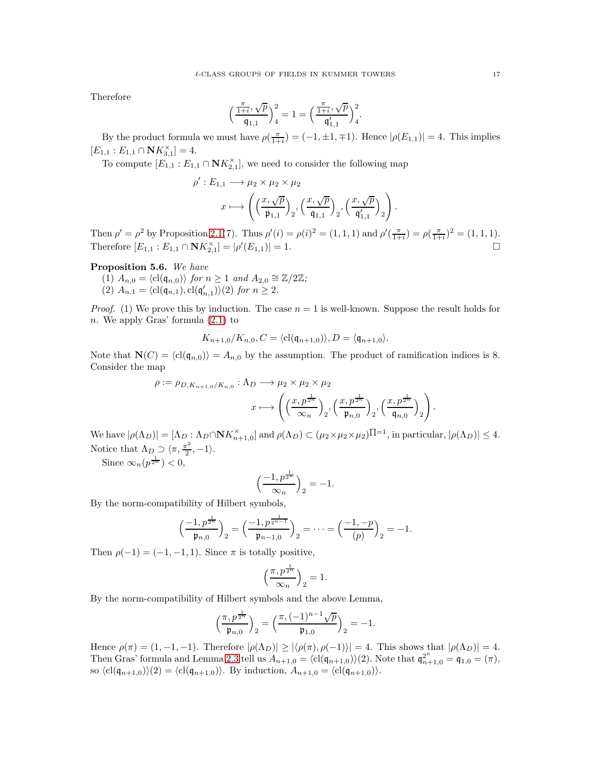Therefore

$$
\Big(\frac{\frac{\pi}{1+i},\sqrt{p}}{\mathfrak{q}_{1,1}}\Big)_4^2=1=\Big(\frac{\frac{\pi}{1+i},\sqrt{p}}{\mathfrak{q}_{1,1}'}\Big)_4^2.
$$

By the product formula we must have  $\rho(\frac{\pi}{1+i}) = (-1, \pm 1, \mp 1)$ . Hence  $|\rho(E_{1,1})| = 4$ . This implies  $[E_{1,1}: E_{1,1} \cap \mathbf{N} K_{3,1}^{\times}] = 4.$ 

To compute  $[E_{1,1}:E_{1,1} \cap \mathbf{N}K_{2,1}^{\times}],$  we need to consider the following map

$$
\rho': E_{1,1} \longrightarrow \mu_2 \times \mu_2 \times \mu_2
$$

$$
x \longmapsto \left( \left( \frac{x, \sqrt{p}}{\mathfrak{p}_{1,1}} \right)_2, \left( \frac{x, \sqrt{p}}{\mathfrak{q}_{1,1}} \right)_2, \left( \frac{x, \sqrt{p}}{\mathfrak{q}_{1,1}'} \right)_2 \right).
$$

Then  $\rho' = \rho^2$  by Proposition [2.1\(](#page-2-0)7). Thus  $\rho'(i) = \rho(i)^2 = (1, 1, 1)$  and  $\rho'(\frac{\pi}{1+i}) = \rho(\frac{\pi}{1+i})^2 = (1, 1, 1)$ . Therefore  $[E_{1,1}:E_{1,1} \cap \mathbf{N}K_{2,1}^{\times}] = |\rho'|$  $(E_{1,1}) = 1.$ 

<span id="page-16-0"></span>Proposition 5.6. *We have*

 $(1)$   $A_{n,0} = \langle cl(q_{n,0}) \rangle$  *for*  $n \geq 1$  *and*  $A_{2,0} \cong \mathbb{Z}/2\mathbb{Z}$ *;* (2)  $A_{n,1} = \langle \text{cl}(\mathfrak{q}_{n,1}), \text{cl}(\mathfrak{q}'_{n,1}) \rangle (2) \text{ for } n \geq 2.$ 

*Proof.* (1) We prove this by induction. The case  $n = 1$  is well-known. Suppose the result holds for n. We apply Gras' formula [\(2.1\)](#page-3-4) to

$$
K_{n+1,0}/K_{n,0}, C = \langle \text{cl}(\mathfrak{q}_{n+1,0}) \rangle, D = \langle \mathfrak{q}_{n+1,0} \rangle.
$$

Note that  $\mathbf{N}(C) = \langle c \, | \, (q_{n,0}) \rangle = A_{n,0}$  by the assumption. The product of ramification indices is 8. Consider the map

$$
\rho := \rho_{D, K_{n+1,0}/K_{n,0}} : \Lambda_D \longrightarrow \mu_2 \times \mu_2 \times \mu_2
$$

$$
x \longmapsto \left( \left( \frac{x, p^{\frac{1}{2^n}}}{\infty_n} \right)_2, \left( \frac{x, p^{\frac{1}{2^n}}}{\mathfrak{p}_{n,0}} \right)_2, \left( \frac{x, p^{\frac{1}{2^n}}}{\mathfrak{q}_{n,0}} \right)_2 \right).
$$

We have  $|\rho(\Lambda_D)| = [\Lambda_D : \Lambda_D \cap \mathbf{N} K_{n+1,0}^{\times}]$  and  $\rho(\Lambda_D) \subset (\mu_2 \times \mu_2 \times \mu_2)$   $\Pi = \emptyset$ , in particular,  $|\rho(\Lambda_D)| \leq 4$ . Notice that  $\Lambda_D \supset \langle \pi, \frac{\pi^2}{2} \rangle$  $\frac{1}{2}, -1$ .

Since  $\infty_n(p^{\frac{1}{2^n}}) < 0$ ,

$$
\left(\frac{-1, p^{\frac{1}{2^n}}}{\infty_n}\right)_2 = -1.
$$

By the norm-compatibility of Hilbert symbols,

$$
\left(\frac{-1, p^{\frac{1}{2^n}}}{\mathfrak{p}_{n,0}}\right)_2 = \left(\frac{-1, p^{\frac{1}{2^{n-1}}}}{\mathfrak{p}_{n-1,0}}\right)_2 = \dots = \left(\frac{-1, -p}{(p)}\right)_2 = -1.
$$

Then  $\rho(-1) = (-1, -1, 1)$ . Since  $\pi$  is totally positive,

$$
\left(\frac{\pi, p^{\frac{1}{2^n}}}{\infty_n}\right)_2 = 1.
$$

By the norm-compatibility of Hilbert symbols and the above Lemma,

$$
\Big(\frac{\pi, p^{\frac{1}{2^n}}}{\mathfrak{p}_{n,0}}\Big)_2=\Big(\frac{\pi, (-1)^{n-1}\sqrt{p}}{\mathfrak{p}_{1,0}}\Big)_2=-1.
$$

Hence  $\rho(\pi) = (1, -1, -1)$ . Therefore  $|\rho(\Lambda_D)| \ge |\langle \rho(\pi), \rho(-1) \rangle| = 4$ . This shows that  $|\rho(\Lambda_D)| = 4$ . Then Gras' formula and Lemma [2.3](#page-3-3) tell us  $A_{n+1,0} = \langle cl(\mathfrak{q}_{n+1,0}) \rangle(2)$ . Note that  $\mathfrak{q}_{n+1,0}^{2^n} = \mathfrak{q}_{1,0} = (\pi)$ , so  $\langle \text{cl}(\mathfrak{q}_{n+1,0})\rangle(2) = \langle \text{cl}(\mathfrak{q}_{n+1,0})\rangle$ . By induction,  $A_{n+1,0} = \langle \text{cl}(\mathfrak{q}_{n+1,0})\rangle$ .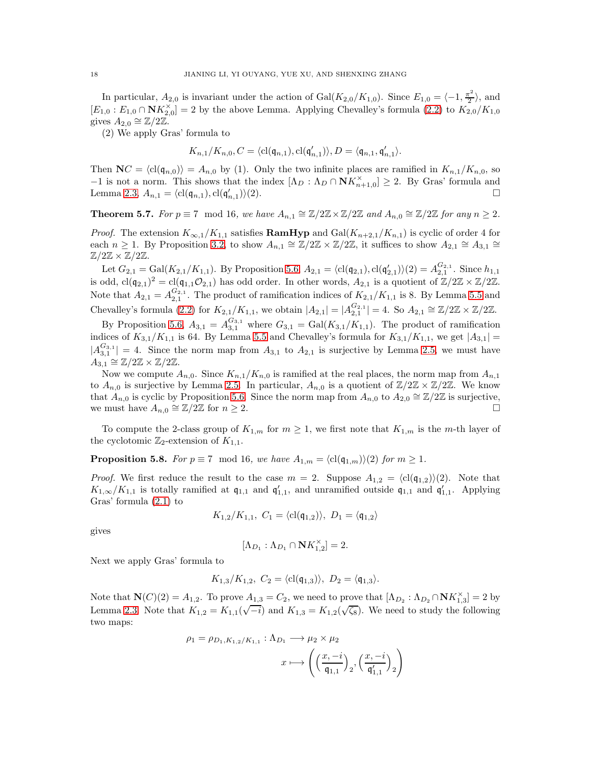In particular,  $A_{2,0}$  is invariant under the action of  $Gal(K_{2,0}/K_{1,0})$ . Since  $E_{1,0} = \langle -1, \frac{\pi^2}{2} \rangle$  $\frac{1}{2}$ , and  $[E_{1,0}: E_{1,0} \cap \mathbf{N} K_{2,0}^{\times}] = 2$  by the above Lemma. Applying Chevalley's formula [\(2.2\)](#page-3-2) to  $K_{2,0}/K_{1,0}$ gives  $A_{2,0} \cong \mathbb{Z}/2\mathbb{Z}$ .

(2) We apply Gras' formula to

$$
K_{n,1}/K_{n,0}, C = \langle \text{cl}(\mathfrak{q}_{n,1}), \text{cl}(\mathfrak{q}'_{n,1}) \rangle, D = \langle \mathfrak{q}_{n,1}, \mathfrak{q}'_{n,1} \rangle.
$$

Then  $\mathbf{N}C = \langle \text{cl}(\mathfrak{q}_{n,0}) \rangle = A_{n,0}$  by (1). Only the two infinite places are ramified in  $K_{n,1}/K_{n,0}$ , so  $-1$  is not a norm. This shows that the index  $[\Lambda_D : \Lambda_D \cap \mathbf{N}K_{n+1,0}^{\times}] \geq 2$ . By Gras' formula and Lemma [2.3,](#page-3-3)  $A_{n,1} = \langle \text{cl}(\mathfrak{q}_{n,1}), \text{cl}(\mathfrak{q}'_{n,1}) \rangle$  $\rangle$ (2).

<span id="page-17-0"></span>**Theorem 5.7.** *For*  $p \equiv 7 \mod 16$ , we have  $A_{n,1} \cong \mathbb{Z}/2\mathbb{Z} \times \mathbb{Z}/2\mathbb{Z}$  and  $A_{n,0} \cong \mathbb{Z}/2\mathbb{Z}$  for any  $n \geq 2$ .

*Proof.* The extension  $K_{\infty,1}/K_{1,1}$  satisfies **RamHyp** and Gal( $K_{n+2,1}/K_{n,1}$ ) is cyclic of order 4 for each  $n \geq 1$ . By Proposition [3.2,](#page-5-0) to show  $A_{n,1} \cong \mathbb{Z}/2\mathbb{Z} \times \mathbb{Z}/2\mathbb{Z}$ , it suffices to show  $A_{2,1} \cong A_{3,1} \cong \mathbb{Z}/2\mathbb{Z} \times \mathbb{Z}/2\mathbb{Z}$ .  $\mathbb{Z}/2\mathbb{Z} \times \mathbb{Z}/2\mathbb{Z}$ .

Let  $G_{2,1} = \text{Gal}(K_{2,1}/K_{1,1})$ . By Proposition [5.6,](#page-16-0)  $A_{2,1} = \langle \text{cl}(\mathfrak{q}_{2,1}), \text{cl}(\mathfrak{q}'_{2,1}) \rangle (2) = A_{2,1}^{G_{2,1}}$ . Since  $h_{1,1}$ is odd, cl( $(\mathfrak{q}_{2,1})^2 = \text{cl}(\mathfrak{q}_{1,1}\mathcal{O}_{2,1})$  has odd order. In other words,  $A_{2,1}$  is a quotient of  $\mathbb{Z}/2\mathbb{Z} \times \mathbb{Z}/2\mathbb{Z}$ . Note that  $A_{2,1} = A_{2,1}^{G_{2,1}}$ . The product of ramification indices of  $K_{2,1}/K_{1,1}$  is 8. By Lemma [5.5](#page-14-0) and Chevalley's formula [\(2.2\)](#page-3-2) for  $K_{2,1}/K_{1,1}$ , we obtain  $|A_{2,1}| = |A_{2,1}^{G_{2,1}}| = 4$ . So  $A_{2,1} \cong \mathbb{Z}/2\mathbb{Z} \times \mathbb{Z}/2\mathbb{Z}$ .

By Proposition [5.6,](#page-16-0)  $A_{3,1} = A_{3,1}^{G_{3,1}}$  where  $G_{3,1} = \text{Gal}(K_{3,1}/K_{1,1})$ . The product of ramification indices of  $K_{3,1}/K_{1,1}$  is 64. By Lemma [5.5](#page-14-0) and Chevalley's formula for  $K_{3,1}/K_{1,1}$ , we get  $|A_{3,1}|$  =  $|A_{3,1}^{G_{3,1}}| = 4$ . Since the norm map from  $A_{3,1}$  to  $A_{2,1}$  is surjective by Lemma [2.5,](#page-3-1) we must have  $A_{3,1} \cong \mathbb{Z}/2\mathbb{Z} \times \mathbb{Z}/2\mathbb{Z}$ .

Now we compute  $A_{n,0}$ . Since  $K_{n,1}/K_{n,0}$  is ramified at the real places, the norm map from  $A_{n,1}$ to  $A_{n,0}$  is surjective by Lemma [2.5.](#page-3-1) In particular,  $A_{n,0}$  is a quotient of  $\mathbb{Z}/2\mathbb{Z} \times \mathbb{Z}/2\mathbb{Z}$ . We know that  $A_{n,0}$  is cyclic by Proposition [5.6.](#page-16-0) Since the norm map from  $A_{n,0}$  to  $A_{2,0} \cong \mathbb{Z}/2\mathbb{Z}$  is surjective, we must have  $A_{n,0} \cong \mathbb{Z}/2\mathbb{Z}$  for  $n \geq 2$ .

To compute the 2-class group of  $K_{1,m}$  for  $m \geq 1$ , we first note that  $K_{1,m}$  is the m-th layer of the cyclotomic  $\mathbb{Z}_2$ -extension of  $K_{1,1}$ .

**Proposition 5.8.** *For*  $p \equiv 7 \mod 16$ *, we have*  $A_{1,m} = \langle cl(\mathfrak{q}_{1,m}) \rangle(2)$  *for*  $m \geq 1$ *.* 

*Proof.* We first reduce the result to the case  $m = 2$ . Suppose  $A_{1,2} = \langle cl(\mathfrak{q}_{1,2})\rangle(2)$ . Note that  $K_{1,\infty}/K_{1,1}$  is totally ramified at  $\mathfrak{q}_{1,1}$  and  $\mathfrak{q}'_{1,1}$ , and unramified outside  $\mathfrak{q}_{1,1}$  and  $\mathfrak{q}'_{1,1}$ . Applying Gras' formula [\(2.1\)](#page-3-4) to

$$
K_{1,2}/K_{1,1}, C_1 = \langle \text{cl}(\mathfrak{q}_{1,2}) \rangle, D_1 = \langle \mathfrak{q}_{1,2} \rangle
$$

gives

$$
[\Lambda_{D_1} : \Lambda_{D_1} \cap \mathbf{N} K_{1,2}^{\times}] = 2.
$$

Next we apply Gras' formula to

$$
K_{1,3}/K_{1,2}
$$
,  $C_2 = \langle cl(\mathfrak{q}_{1,3}) \rangle$ ,  $D_2 = \langle \mathfrak{q}_{1,3} \rangle$ .

Note that  $\mathbf{N}(C)(2) = A_{1,2}$ . To prove  $A_{1,3} = C_2$ , we need to prove that  $[\Lambda_{D_2} : \Lambda_{D_2} \cap \mathbf{N}K_{1,3}^{\times}] = 2$  by Lemma [2.3.](#page-3-3) Note that  $K_{1,2} = K_{1,1}(\sqrt{-i})$  and  $K_{1,3} = K_{1,2}(\sqrt{\zeta_8})$ . We need to study the following two maps:

$$
\rho_1 = \rho_{D_1, K_{1,2}/K_{1,1}} : \Lambda_{D_1} \longrightarrow \mu_2 \times \mu_2
$$

$$
x \longmapsto \left( \left( \frac{x, -i}{\mathfrak{q}_{1,1}} \right)_2, \left( \frac{x, -i}{\mathfrak{q}'_{1,1}} \right)_2 \right)
$$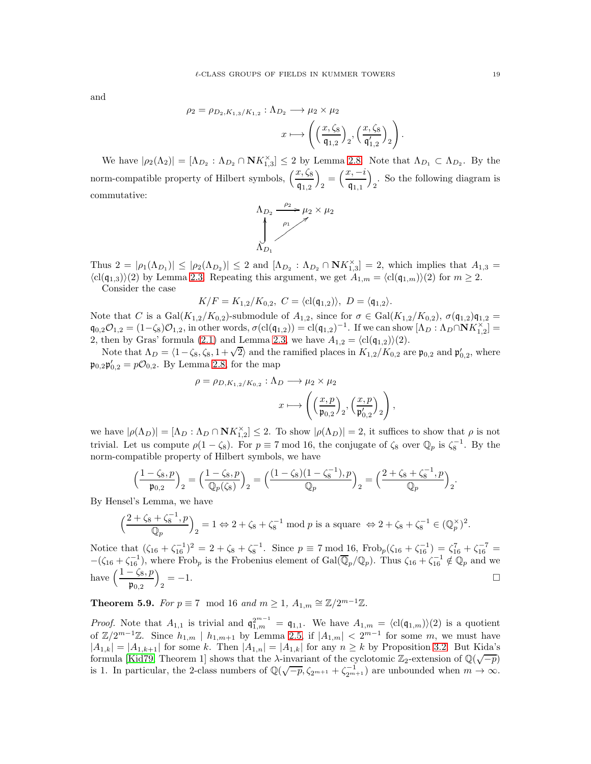and

$$
\rho_2 = \rho_{D_2, K_{1,3}/K_{1,2}} : \Lambda_{D_2} \longrightarrow \mu_2 \times \mu_2
$$

$$
x \longmapsto \left( \left( \frac{x, \zeta_8}{\mathfrak{q}_{1,2}} \right)_2, \left( \frac{x, \zeta_8}{\mathfrak{q}'_{1,2}} \right)_2 \right).
$$

We have  $|\rho_2(\Lambda_2)| = [\Lambda_{D_2} : \Lambda_{D_2} \cap \mathbf{N} K_{1,3}^{\times}] \leq 2$  by Lemma [2.8.](#page-4-0) Note that  $\Lambda_{D_1} \subset \Lambda_{D_2}$ . By the norm-compatible property of Hilbert symbols,  $\left(\frac{x,\zeta_8}{\mathfrak{q}_{1,2}}\right)$  $\overline{ }$  $\frac{1}{2} = \left(\frac{x, -i}{\mathfrak{q}_{1,1}}\right)$  $q_{1,1}$  $\overline{ }$ 2 . So the following diagram is commutative:



Thus  $2 = |\rho_1(\Lambda_{D_1})| \leq |\rho_2(\Lambda_{D_2})| \leq 2$  and  $[\Lambda_{D_2} : \Lambda_{D_2} \cap \mathbf{N}K_{1,3}^{\times}] = 2$ , which implies that  $A_{1,3} =$  $\langle \text{cl}(\mathfrak{q}_{1,3})\rangle(2)$  by Lemma [2.3.](#page-3-3) Repeating this argument, we get  $A_{1,m} = \langle \text{cl}(\mathfrak{q}_{1,m})\rangle(2)$  for  $m \geq 2$ .

Consider the case

$$
K/F = K_{1,2}/K_{0,2}, C = \langle \mathrm{cl}(\mathfrak{q}_{1,2}) \rangle, D = \langle \mathfrak{q}_{1,2} \rangle.
$$

Note that C is a Gal $(K_{1,2}/K_{0,2})$ -submodule of  $A_{1,2}$ , since for  $\sigma \in \text{Gal}(K_{1,2}/K_{0,2}), \sigma(\mathfrak{q}_{1,2})\mathfrak{q}_{1,2} =$  $\mathfrak{q}_{0,2}\mathcal{O}_{1,2} = (1-\zeta_8)\mathcal{O}_{1,2}$ , in other words,  $\sigma(\mathrm{cl}(\mathfrak{q}_{1,2})) = \mathrm{cl}(\mathfrak{q}_{1,2})^{-1}$ . If we can show  $[\Lambda_D : \Lambda_D \cap \mathbf{N} K_{1,2}^{\times}] =$ 2, then by Gras' formula [\(2.1\)](#page-3-4) and Lemma [2.3,](#page-3-3) we have  $A_{1,2} = \langle \text{cl}(\mathfrak{q}_{1,2}) \rangle(2)$ .

Note that  $\Lambda_D = \langle 1 - \zeta_8, \zeta_8, 1 + \sqrt{2} \rangle$  and the ramified places in  $K_{1,2}/K_{0,2}$  are  $\mathfrak{p}_{0,2}$  and  $\mathfrak{p}'_{0,2}$ , where  $\mathfrak{p}_{0,2}\mathfrak{p}'_{0,2} = p\mathcal{O}_{0,2}$ . By Lemma [2.8,](#page-4-0) for the map

$$
\rho = \rho_{D, K_{1,2}/K_{0,2}} : \Lambda_D \longrightarrow \mu_2 \times \mu_2
$$

$$
x \longmapsto \left( \left( \frac{x, p}{\mathfrak{p}_{0,2}} \right)_2, \left( \frac{x, p}{\mathfrak{p}'_{0,2}} \right)_2 \right)
$$

,

we have  $|\rho(\Lambda_D)| = [\Lambda_D : \Lambda_D \cap \mathbf{N} K_{1,2}^{\times}] \leq 2$ . To show  $|\rho(\Lambda_D)| = 2$ , it suffices to show that  $\rho$  is not trivial. Let us compute  $\rho(1-\zeta_8)$ . For  $p \equiv 7 \mod 16$ , the conjugate of  $\zeta_8$  over  $\mathbb{Q}_p$  is  $\zeta_8^{-1}$ . By the norm-compatible property of Hilbert symbols, we have

$$
\left(\frac{1-\zeta_8, p}{\mathfrak{p}_{0,2}}\right)_2 = \left(\frac{1-\zeta_8, p}{\mathbb{Q}_p(\zeta_8)}\right)_2 = \left(\frac{(1-\zeta_8)(1-\zeta_8^{-1}), p}{\mathbb{Q}_p}\right)_2 = \left(\frac{2+\zeta_8+\zeta_8^{-1}, p}{\mathbb{Q}_p}\right)_2.
$$

By Hensel's Lemma, we have

$$
\left(\frac{2+\zeta_8+\zeta_8^{-1},p}{\mathbb{Q}_p}\right)_2 = 1 \Leftrightarrow 2+\zeta_8+\zeta_8^{-1} \bmod p \text{ is a square } \Leftrightarrow 2+\zeta_8+\zeta_8^{-1} \in (\mathbb{Q}_p^{\times})^2.
$$

Notice that  $(\zeta_{16} + \zeta_{16}^{-1})^2 = 2 + \zeta_8 + \zeta_8^{-1}$ . Since  $p \equiv 7 \mod 16$ , Frob<sub>p</sub> $(\zeta_{16} + \zeta_{16}^{-1}) = \zeta_{16}^7 + \zeta_{16}^{-7} =$  $-(\zeta_{16} + \zeta_{16}^{-1})$ , where Frob<sub>p</sub> is the Frobenius element of Gal( $\overline{\mathbb{Q}}_p/\mathbb{Q}_p$ ). Thus  $\zeta_{16} + \zeta_{16}^{-1} \notin \mathbb{Q}_p$  and we have  $\left(\frac{1-\zeta_8, p}{\mathfrak{p}_{0,2}}\right)$  $\overline{ }$  $\Box$   $\Box$ 

<span id="page-18-0"></span>**Theorem 5.9.** *For*  $p \equiv 7 \mod 16$  *and*  $m \ge 1$ ,  $A_{1,m} \cong \mathbb{Z}/2^{m-1}\mathbb{Z}$ *.* 

*Proof.* Note that  $A_{1,1}$  is trivial and  $\mathfrak{q}_{1,m}^{2^{m-1}} = \mathfrak{q}_{1,1}$ . We have  $A_{1,m} = \langle cl(\mathfrak{q}_{1,m}) \rangle (2)$  is a quotient of  $\mathbb{Z}/2^{m-1}\mathbb{Z}$ . Since  $h_{1,m} \mid h_{1,m+1}$  by Lemma [2.5,](#page-3-1) if  $|A_{1,m}| < 2^{m-1}$  for some m, we must have  $|A_{1,k}| = |A_{1,k+1}|$  for some k. Then  $|A_{1,n}| = |A_{1,k}|$  for any  $n \geq k$  by Proposition [3.2.](#page-5-0) But Kida's formula [\[Kid79,](#page-20-12) Theorem 1] shows that the  $\lambda$ -invariant of the cyclotomic  $\mathbb{Z}_2$ -extension of  $\mathbb{Q}(\sqrt{-p})$ is 1. In particular, the 2-class numbers of  $\mathbb{Q}(\sqrt{-p}, \zeta_{2^{m+1}} + \zeta_{2^{m+1}}^{-1})$  are unbounded when  $m \to \infty$ .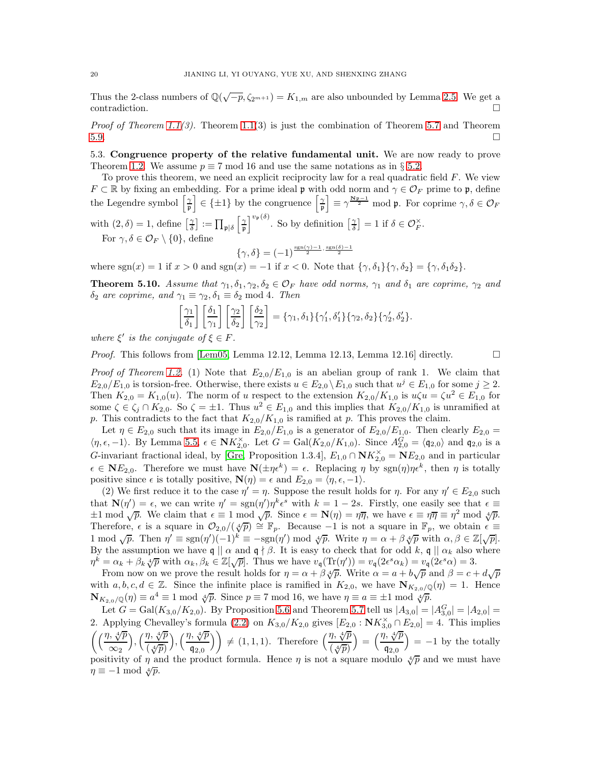Thus the 2-class numbers of  $\mathbb{Q}(\sqrt{-p}, \zeta_{2^{m+1}}) = K_{1,m}$  are also unbounded by Lemma [2.5.](#page-3-1) We get a  $\Box$ contradiction.

*Proof of Theorem [1.1\(](#page-0-0)3).* Theorem [1.1\(](#page-0-0)3) is just the combination of Theorem [5.7](#page-17-0) and Theorem [5.9.](#page-18-0)

5.3. Congruence property of the relative fundamental unit. We are now ready to prove Theorem [1.2.](#page-0-1) We assume  $p \equiv 7 \mod 16$  and use the same notations as in § [5.2.](#page-13-0)

To prove this theorem, we need an explicit reciprocity law for a real quadratic field  $F$ . We view  $F \subset \mathbb{R}$  by fixing an embedding. For a prime ideal p with odd norm and  $\gamma \in \mathcal{O}_F$  prime to p, define the Legendre symbol  $\left[\frac{\gamma}{n}\right]$ p  $\epsilon \in \{\pm 1\}$  by the congruence  $\int_{\mathfrak{p}}^{\infty}$ p  $\bar{\mathcal{P}} = \gamma^{\frac{Np-1}{2}}$  mod p. For coprime  $\gamma, \delta \in \mathcal{O}_F$  $\lceil \gamma \rceil$ 

with  $(2,\delta) = 1$ , define  $\left[\frac{\gamma}{\delta}\right] := \prod_{\mathfrak{p} \mid \delta}$ p  $v_{\mathfrak{p}}(\delta)$ . So by definition  $\left[\frac{\gamma}{\delta}\right] = 1$  if  $\delta \in \mathcal{O}_F^{\times}$ . For  $\gamma, \delta \in \mathcal{O}_F \setminus \{0\}$ , define

$$
\{\gamma,\delta\} = (-1)^{\frac{\operatorname{sgn}(\gamma)-1}{2}\cdot\frac{\operatorname{sgn}(\delta)-1}{2}}
$$

where  $sgn(x) = 1$  if  $x > 0$  and  $sgn(x) = -1$  if  $x < 0$ . Note that  $\{\gamma, \delta_1\}, \{\gamma, \delta_2\} = \{\gamma, \delta_1\delta_2\}.$ 

<span id="page-19-0"></span>**Theorem 5.10.** Assume that  $\gamma_1, \delta_1, \gamma_2, \delta_2 \in \mathcal{O}_F$  have odd norms,  $\gamma_1$  and  $\delta_1$  are coprime,  $\gamma_2$  and  $\delta_2$  *are coprime, and*  $\gamma_1 \equiv \gamma_2, \delta_1 \equiv \delta_2 \mod 4$ *. Then* 

$$
\left[\frac{\gamma_1}{\delta_1}\right] \left[\frac{\delta_1}{\gamma_1}\right] \left[\frac{\gamma_2}{\delta_2}\right] \left[\frac{\delta_2}{\gamma_2}\right] = \{\gamma_1, \delta_1\} \{\gamma_1', \delta_1'\} \{\gamma_2, \delta_2\} \{\gamma_2', \delta_2'\}.
$$

*where*  $\xi'$  *is the conjugate of*  $\xi \in F$ *.* 

*Proof.* This follows from [\[Lem05,](#page-20-13) Lemma 12.12, Lemma 12.13, Lemma 12.16] directly.  $\square$ 

*Proof of Theorem [1.2.](#page-0-1)* (1) Note that  $E_{2,0}/E_{1,0}$  is an abelian group of rank 1. We claim that  $E_{2,0}/E_{1,0}$  is torsion-free. Otherwise, there exists  $u \in E_{2,0} \setminus E_{1,0}$  such that  $u^j \in E_{1,0}$  for some  $j \ge 2$ . Then  $K_{2,0} = K_{1,0}(u)$ . The norm of u respect to the extension  $K_{2,0}/K_{1,0}$  is  $u\zeta u = \zeta u^2 \in E_{1,0}$  for some  $\zeta \in \zeta_j \cap K_{2,0}$ . So  $\zeta = \pm 1$ . Thus  $u^2 \in E_{1,0}$  and this implies that  $K_{2,0}/K_{1,0}$  is unramified at p. This contradicts to the fact that  $K_{2,0}/K_{1,0}$  is ramified at p. This proves the claim.

Let  $\eta \in E_{2,0}$  such that its image in  $E_{2,0}/E_{1,0}$  is a generator of  $E_{2,0}/E_{1,0}$ . Then clearly  $E_{2,0}$  =  $\langle \eta, \epsilon, -1 \rangle$ . By Lemma [5.5,](#page-14-0)  $\epsilon \in \mathbf{N} K_{2,0}^{\times}$ . Let  $G = \text{Gal}(K_{2,0}/K_{1,0})$ . Since  $A_{2,0}^G = \langle \mathfrak{q}_{2,0} \rangle$  and  $\mathfrak{q}_{2,0}$  is a G-invariant fractional ideal, by [\[Gre,](#page-20-14) Proposition 1.3.4],  $E_{1,0} \cap \mathbf{N} K_{2,0}^{\times} = \mathbf{N} E_{2,0}$  and in particular  $\epsilon \in \mathbf{N}E_{2,0}$ . Therefore we must have  $\mathbf{N}(\pm \eta \epsilon^k) = \epsilon$ . Replacing  $\eta$  by  $sgn(\eta)\eta \epsilon^k$ , then  $\eta$  is totally positive since  $\epsilon$  is totally positive,  $\mathbf{N}(\eta) = \epsilon$  and  $E_{2,0} = \langle \eta, \epsilon, -1 \rangle$ .

(2) We first reduce it to the case  $\eta' = \eta$ . Suppose the result holds for  $\eta$ . For any  $\eta' \in E_{2,0}$  such that  $\mathbf{N}(\eta') = \epsilon$ , we can write  $\eta' = \text{sgn}(\eta')\eta^k \epsilon^s$  with  $k = 1 - 2s$ . Firstly, one easily see that  $\epsilon \equiv$  $\pm 1 \mod \sqrt{p}$ . We claim that  $\epsilon \equiv 1 \mod \sqrt{p}$ . Since  $\epsilon = \mathbf{N}(\eta) = \eta \overline{\eta}$ , we have  $\epsilon \equiv \eta \overline{\eta} \equiv \eta^2 \mod \sqrt{p}$ . Therefore,  $\epsilon$  is a square in  $\mathcal{O}_{2,0}/(\sqrt[4]{p}) \cong \mathbb{F}_p$ . Because  $-1$  is not a square in  $\mathbb{F}_p$ , we obtain  $\epsilon \equiv$ 1 mod  $\sqrt{p}$ . Then  $\eta' \equiv \text{sgn}(\eta')(-1)^k \equiv -\text{sgn}(\eta') \bmod \sqrt[4]{p}$ . Write  $\eta = \alpha + \beta \sqrt[4]{p}$  with  $\alpha, \beta \in \mathbb{Z}[\sqrt{p}]$ . By the assumption we have  $\mathfrak{q} \parallel \alpha$  and  $\mathfrak{q} \nmid \beta$ . It is easy to check that for odd k,  $\mathfrak{q} \parallel \alpha_k$  also where  $\eta^k = \alpha_k + \beta_k \sqrt[4]{p}$  with  $\alpha_k, \beta_k \in \mathbb{Z}[\sqrt{p}]$ . Thus we have  $v_{\mathfrak{q}}(\text{Tr}(\eta')) = v_{\mathfrak{q}}(2\epsilon^s \alpha_k) = v_{\mathfrak{q}}(2\epsilon^s \alpha) = 3$ .

From now on we prove the result holds for  $\eta = \alpha + \beta \sqrt[4]{p}$ . Write  $\alpha = a + b\sqrt{p}$  and  $\beta = c + d\sqrt{p}$ with  $a, b, c, d \in \mathbb{Z}$ . Since the infinite place is ramified in  $K_{2,0}$ , we have  $\mathbf{N}_{K_{2,0}/\mathbb{Q}}(\eta) = 1$ . Hence  $\mathbf{N}_{K_{2,0}/\mathbb{Q}}(\eta) \equiv a^4 \equiv 1 \mod \sqrt[4]{p}$ . Since  $p \equiv 7 \mod 16$ , we have  $\eta \equiv a \equiv \pm 1 \mod \sqrt[4]{p}$ .

Let  $G = \text{Gal}(K_{3,0}/K_{2,0})$ . By Proposition [5.6](#page-16-0) and Theorem [5.7](#page-17-0) tell us  $|A_{3,0}| = |A_{3,0}^G| = |A_{2,0}| =$ 2. Applying Chevalley's formula [\(2.2\)](#page-3-2) on  $K_{3,0}/K_{2,0}$  gives  $[E_{2,0} : \mathbf{N}K_{3,0}^{\times} \cap E_{2,0}] = 4$ . This implies  $(1, \sqrt[4]{p})$  $\infty_2$  $\left( \frac{\eta, \sqrt[4]{p}}{\sqrt{p}} \right)$  $\overline{(\sqrt[4]{p})}$  $\Big)$ ,  $\Big(\frac{\eta, \sqrt[4]{p}}{p}\Big)$  $q_{2,0}$  $\binom{\eta, \sqrt[4]{p}}{\left(\sqrt[4]{p}\right)}$  $= \left(\frac{\eta, \sqrt[4]{p}}{p}\right)$  $q_{2,0}$  $= -1$  by the totally positivity of  $\eta$  and the product formula. Hence  $\eta$  is not a square modulo  $\sqrt[n]{p}$  and we must have  $\eta \equiv -1 \mod \sqrt[4]{p}$ .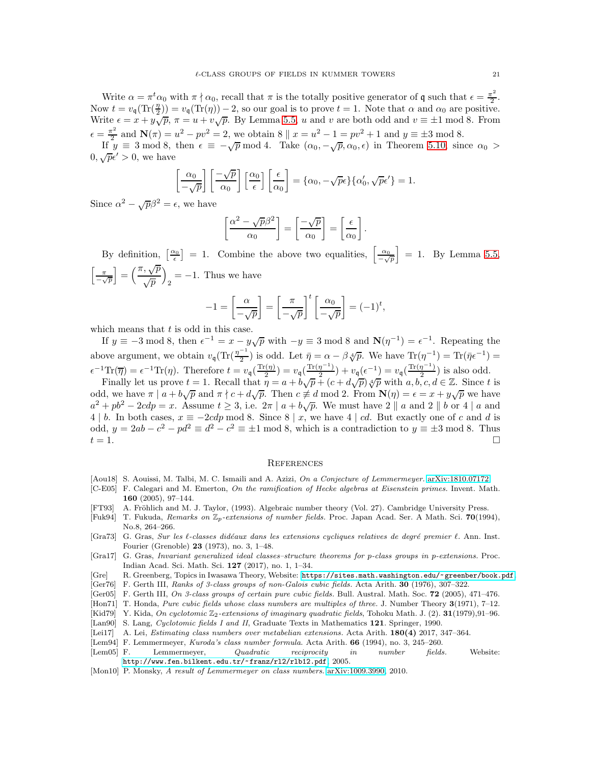Write  $\alpha = \pi^t \alpha_0$  with  $\pi \nmid \alpha_0$ , recall that  $\pi$  is the totally positive generator of q such that  $\epsilon = \frac{\pi^2}{2}$ . Now  $t = v_q(\text{Tr}(\frac{n}{2})) = v_q(\text{Tr}(\eta)) - 2$ , so our goal is to prove  $t = 1$ . Note that  $\alpha$  and  $\alpha_0$  are positive. Write  $\epsilon = x + y\sqrt{p}$ ,  $\pi = u + v\sqrt{p}$ . By Lemma [5.5,](#page-14-0) u and v are both odd and  $v \equiv \pm 1 \mod 8$ . From  $\epsilon = \frac{\pi^2}{2}$  $\frac{\pi^2}{2}$  and  $\mathbf{N}(\pi) = u^2 - pv^2 = 2$ , we obtain  $8 \parallel x = u^2 - 1 = pv^2 + 1$  and  $y \equiv \pm 3 \mod 8$ .

If  $y \equiv 3 \mod 8$ , then  $\epsilon \equiv -\sqrt{p} \mod 4$ . Take  $(\alpha_0, -\sqrt{p}, \alpha_0, \epsilon)$  in Theorem [5.10,](#page-19-0) since  $\alpha_0 >$  $0, \sqrt{p}\epsilon' > 0$ , we have

$$
\left[\frac{\alpha_0}{-\sqrt{p}}\right] \left[\frac{-\sqrt{p}}{\alpha_0}\right] \left[\frac{\alpha_0}{\epsilon}\right] \left[\frac{\epsilon}{\alpha_0}\right] = \{\alpha_0, -\sqrt{p}\epsilon\} \{\alpha'_0, \sqrt{p}\epsilon'\} = 1.
$$

Since  $\alpha^2 - \sqrt{p}\beta^2 = \epsilon$ , we have

$$
\left[\frac{\alpha^2 - \sqrt{p}\beta^2}{\alpha_0}\right] = \left[\frac{-\sqrt{p}}{\alpha_0}\right] = \left[\frac{\epsilon}{\alpha_0}\right].
$$

By definition,  $\left[\frac{\alpha_0}{\epsilon}\right] = 1$ . Combine the above two equalities,  $\left[\frac{\alpha_0}{\epsilon}\right]$  $-\sqrt{p}$  $\Big] = 1.$  By Lemma [5.5,](#page-14-0)  $\lceil \frac{\pi}{2} \rceil$  $-\sqrt{p}$  $=\left(\frac{\pi, \sqrt{p}}{\sqrt{p}}\right)$  $\sqrt{p}$  $\overline{\phantom{0}}$  $_2 = -1$ . Thus we have

$$
-1 = \left[\frac{\alpha}{-\sqrt{p}}\right] = \left[\frac{\pi}{-\sqrt{p}}\right]^t \left[\frac{\alpha_0}{-\sqrt{p}}\right] = (-1)^t,
$$

which means that  $t$  is odd in this case.

If  $y \equiv -3 \mod 8$ , then  $\epsilon^{-1} = x - y\sqrt{p}$  with  $-y \equiv 3 \mod 8$  and  $\mathbb{N}(\eta^{-1}) = \epsilon^{-1}$ . Repeating the above argument, we obtain  $v_q(\text{Tr}(\frac{\eta^{-1}}{2})$  is odd. Let  $\bar{\eta} = \alpha - \beta \sqrt[4]{p}$ . We have  $\text{Tr}(\eta^{-1}) = \text{Tr}(\bar{\eta} \epsilon^{-1}) =$ 2  $\epsilon^{-1}\text{Tr}(\overline{\eta}) = \epsilon^{-1}\text{Tr}(\eta)$ . Therefore  $t = v_{\mathfrak{q}}(\frac{\text{Tr}(\eta)}{2})$  $v_{\mathfrak{q}}\left(\frac{\text{Tr}(\eta^{-1})}{2}\right) = v_{\mathfrak{q}}\left(\frac{\text{Tr}(\eta^{-1})}{2}\right)$  $\frac{\eta^{-1})}{2}$ ) +  $v_{\mathfrak{q}}(\epsilon^{-1}) = v_{\mathfrak{q}}(\frac{\text{Tr}(\eta^{-1})}{2})$  $\frac{\pi}{2}$ ) is also odd.

Finally let us prove  $t = 1$ . Recall that  $\eta = a + b\sqrt{p} + (c + d\sqrt{p})\sqrt[4]{p}$  with  $a, b, c, d \in \mathbb{Z}$ . Since t is odd, we have  $\pi | a + b\sqrt{p}$  and  $\pi | c + d\sqrt{p}$ . Then  $c \neq d$  mod 2. From  $\mathbf{N}(\eta) = \epsilon = x + y\sqrt{p}$  we have  $a^2 + pb^2 - 2cdp = x$ . Assume  $t \ge 3$ , i.e.  $2\pi | a + b\sqrt{p}$ . We must have  $2 || a$  and  $2 || b$  or  $4 | a$  and 4 | b. In both cases,  $x \equiv -2cdp \mod 8$ . Since  $8 \mid x$ , we have 4 | cd. But exactly one of c and d is odd,  $y = 2ab - c^2 - pd^2 \equiv d^2 - c^2 \equiv \pm 1 \mod 8$ , which is a contradiction to  $y \equiv \pm 3 \mod 8$ . Thus  $t = 1$ .

#### **REFERENCES**

- <span id="page-20-3"></span>[Aou18] S. Aouissi, M. Talbi, M. C. Ismaili and A. Azizi, On a Conjecture of Lemmermeyer. [arXiv:1810.07172.](http://arxiv.org/abs/1810.07172)
- <span id="page-20-4"></span>[C-E05] F. Calegari and M. Emerton, On the ramification of Hecke algebras at Eisenstein primes. Invent. Math. 160 (2005), 97–144.
- <span id="page-20-11"></span>[FT93] A. Fröhlich and M. J. Taylor, (1993). Algebraic number theory (Vol. 27). Cambridge University Press.
- <span id="page-20-10"></span>[Fuk94] T. Fukuda, Remarks on  $\mathbb{Z}_p$ -extensions of number fields. Proc. Japan Acad. Ser. A Math. Sci. 70(1994), No.8, 264–266.
- <span id="page-20-8"></span>[Gra73] G. Gras, Sur les  $\ell$ -classes didéaux dans les extensions cycliques relatives de degré premier  $\ell$ . Ann. Inst. Fourier (Grenoble) 23 (1973), no. 3, 1–48.
- <span id="page-20-7"></span>[Gra17] G. Gras, Invariant generalized ideal classes–structure theorems for p-class groups in p-extensions. Proc. Indian Acad. Sci. Math. Sci. 127 (2017), no. 1, 1–34.
- <span id="page-20-14"></span>[Gre] R. Greenberg, Topics in Iwasawa Theory, Website: <https://sites.math.washington.edu/~greenber/book.pdf>.
- <span id="page-20-2"></span>[Ger76] F. Gerth III, Ranks of 3-class groups of non-Galois cubic fields. Acta Arith. 30 (1976), 307–322.
- <span id="page-20-5"></span>[Ger05] F. Gerth III, On 3-class groups of certain pure cubic fields. Bull. Austral. Math. Soc. 72 (2005), 471-476.
- <span id="page-20-1"></span>[Hon71] T. Honda, *Pure cubic fields whose class numbers are multiples of three.* J. Number Theory 3(1971), 7–12.
- <span id="page-20-12"></span>[Kid79] Y. Kida, On cyclotomic  $\mathbb{Z}_2$ -extensions of imaginary quadratic fields, Tohoku Math. J. (2). **31**(1979),91–96.
- <span id="page-20-9"></span>[Lan90] S. Lang, Cyclotomic fields I and II, Graduate Texts in Mathematics 121. Springer, 1990.
- <span id="page-20-6"></span>[Lei17] A. Lei, Estimating class numbers over metabelian extensions. Acta Arith. 180(4) 2017, 347–364.
- [Lem94] F. Lemmermeyer, *Kuroda's class number formula*. Acta Arith. **66** (1994), no. 3, 245–260.<br>[Lem05] F. Lemmermeyer, Quadratic reciprocity in number fields
- <span id="page-20-13"></span>Lemmermeyer, Quadratic reciprocity in number fields. Website: <http://www.fen.bilkent.edu.tr/~franz/rl2/rlb12.pdf>, 2005.
- <span id="page-20-0"></span>[Mon10] P. Monsky, A result of Lemmermeyer on class numbers. [arXiv:1009.3990,](http://arxiv.org/abs/1009.3990) 2010.